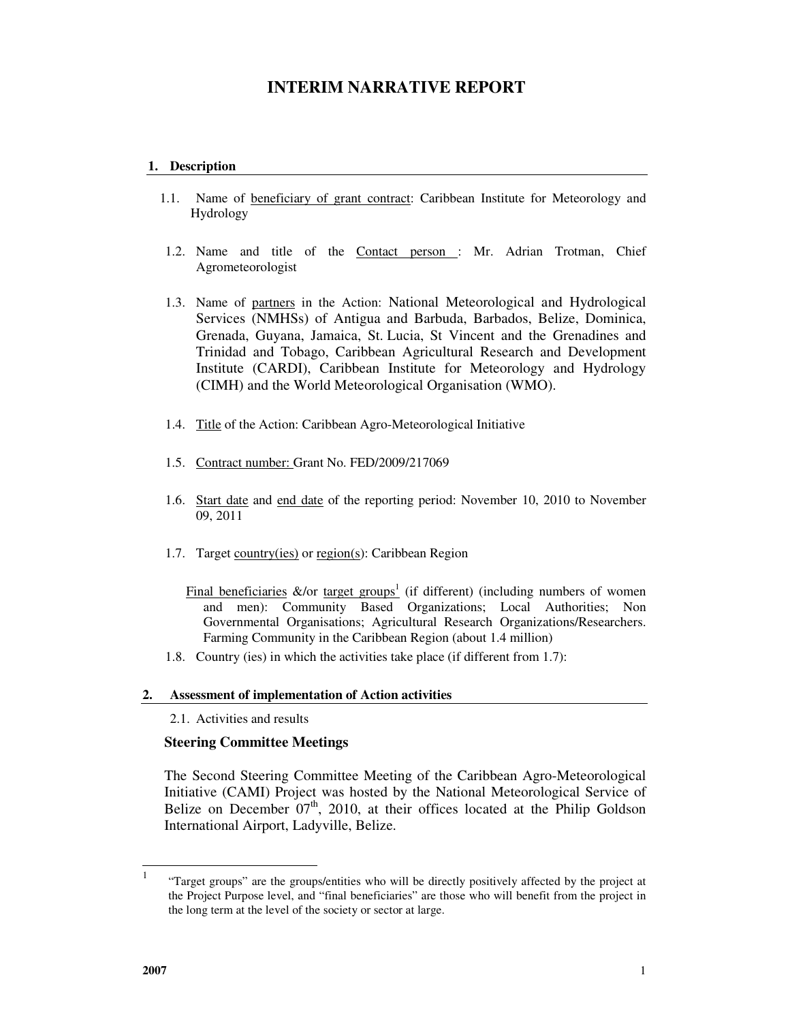# **INTERIM NARRATIVE REPORT**

### **1. Description**

- 1.1. Name of beneficiary of grant contract: Caribbean Institute for Meteorology and Hydrology
- 1.2. Name and title of the Contact person : Mr. Adrian Trotman, Chief Agrometeorologist
- 1.3. Name of partners in the Action: National Meteorological and Hydrological Services (NMHSs) of Antigua and Barbuda, Barbados, Belize, Dominica, Grenada, Guyana, Jamaica, St. Lucia, St Vincent and the Grenadines and Trinidad and Tobago, Caribbean Agricultural Research and Development Institute (CARDI), Caribbean Institute for Meteorology and Hydrology (CIMH) and the World Meteorological Organisation (WMO).
- 1.4. Title of the Action: Caribbean Agro-Meteorological Initiative
- 1.5. Contract number: Grant No. FED/2009/217069
- 1.6. Start date and end date of the reporting period: November 10, 2010 to November 09, 2011
- 1.7. Target country(ies) or region(s): Caribbean Region
	- Final beneficiaries  $\&$ /or target groups<sup>1</sup> (if different) (including numbers of women and men): Community Based Organizations; Local Authorities; Non Governmental Organisations; Agricultural Research Organizations/Researchers. Farming Community in the Caribbean Region (about 1.4 million)
- 1.8. Country (ies) in which the activities take place (if different from 1.7):

#### **2. Assessment of implementation of Action activities**

2.1. Activities and results

#### **Steering Committee Meetings**

The Second Steering Committee Meeting of the Caribbean Agro-Meteorological Initiative (CAMI) Project was hosted by the National Meteorological Service of Belize on December  $07<sup>th</sup>$ , 2010, at their offices located at the Philip Goldson International Airport, Ladyville, Belize.

 $\frac{1}{1}$  "Target groups" are the groups/entities who will be directly positively affected by the project at the Project Purpose level, and "final beneficiaries" are those who will benefit from the project in the long term at the level of the society or sector at large.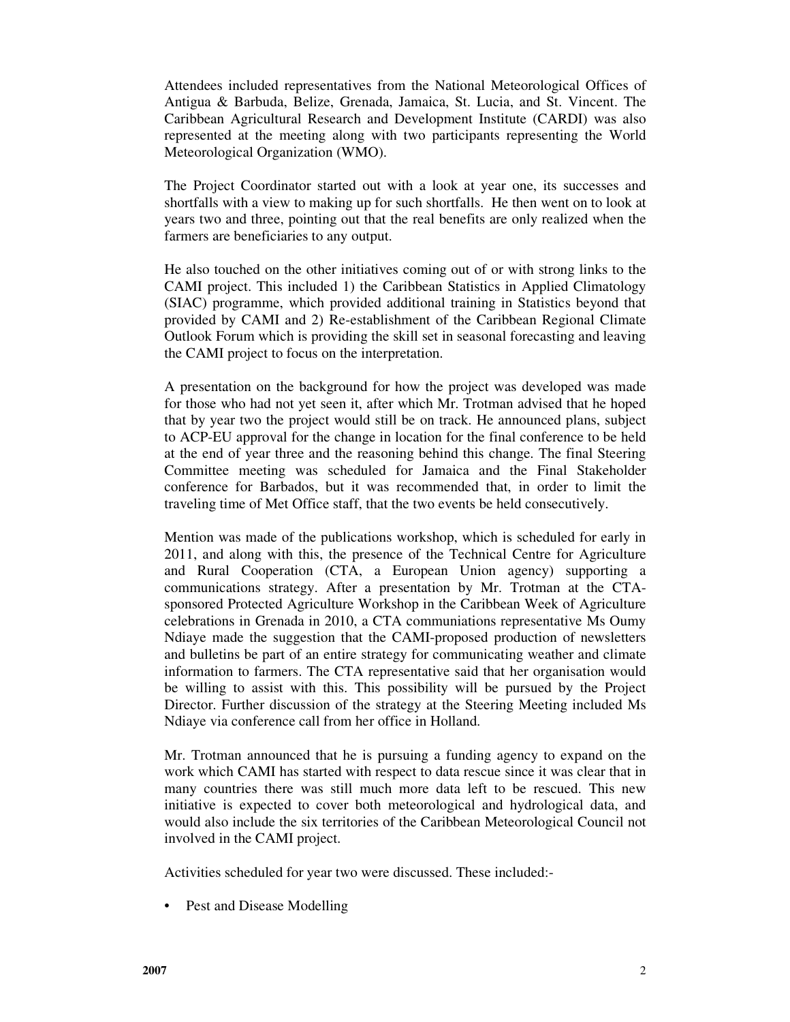Attendees included representatives from the National Meteorological Offices of Antigua & Barbuda, Belize, Grenada, Jamaica, St. Lucia, and St. Vincent. The Caribbean Agricultural Research and Development Institute (CARDI) was also represented at the meeting along with two participants representing the World Meteorological Organization (WMO).

The Project Coordinator started out with a look at year one, its successes and shortfalls with a view to making up for such shortfalls. He then went on to look at years two and three, pointing out that the real benefits are only realized when the farmers are beneficiaries to any output.

He also touched on the other initiatives coming out of or with strong links to the CAMI project. This included 1) the Caribbean Statistics in Applied Climatology (SIAC) programme, which provided additional training in Statistics beyond that provided by CAMI and 2) Re-establishment of the Caribbean Regional Climate Outlook Forum which is providing the skill set in seasonal forecasting and leaving the CAMI project to focus on the interpretation.

A presentation on the background for how the project was developed was made for those who had not yet seen it, after which Mr. Trotman advised that he hoped that by year two the project would still be on track. He announced plans, subject to ACP-EU approval for the change in location for the final conference to be held at the end of year three and the reasoning behind this change. The final Steering Committee meeting was scheduled for Jamaica and the Final Stakeholder conference for Barbados, but it was recommended that, in order to limit the traveling time of Met Office staff, that the two events be held consecutively.

Mention was made of the publications workshop, which is scheduled for early in 2011, and along with this, the presence of the Technical Centre for Agriculture and Rural Cooperation (CTA, a European Union agency) supporting a communications strategy. After a presentation by Mr. Trotman at the CTAsponsored Protected Agriculture Workshop in the Caribbean Week of Agriculture celebrations in Grenada in 2010, a CTA communiations representative Ms Oumy Ndiaye made the suggestion that the CAMI-proposed production of newsletters and bulletins be part of an entire strategy for communicating weather and climate information to farmers. The CTA representative said that her organisation would be willing to assist with this. This possibility will be pursued by the Project Director. Further discussion of the strategy at the Steering Meeting included Ms Ndiaye via conference call from her office in Holland.

Mr. Trotman announced that he is pursuing a funding agency to expand on the work which CAMI has started with respect to data rescue since it was clear that in many countries there was still much more data left to be rescued. This new initiative is expected to cover both meteorological and hydrological data, and would also include the six territories of the Caribbean Meteorological Council not involved in the CAMI project.

Activities scheduled for year two were discussed. These included:-

• Pest and Disease Modelling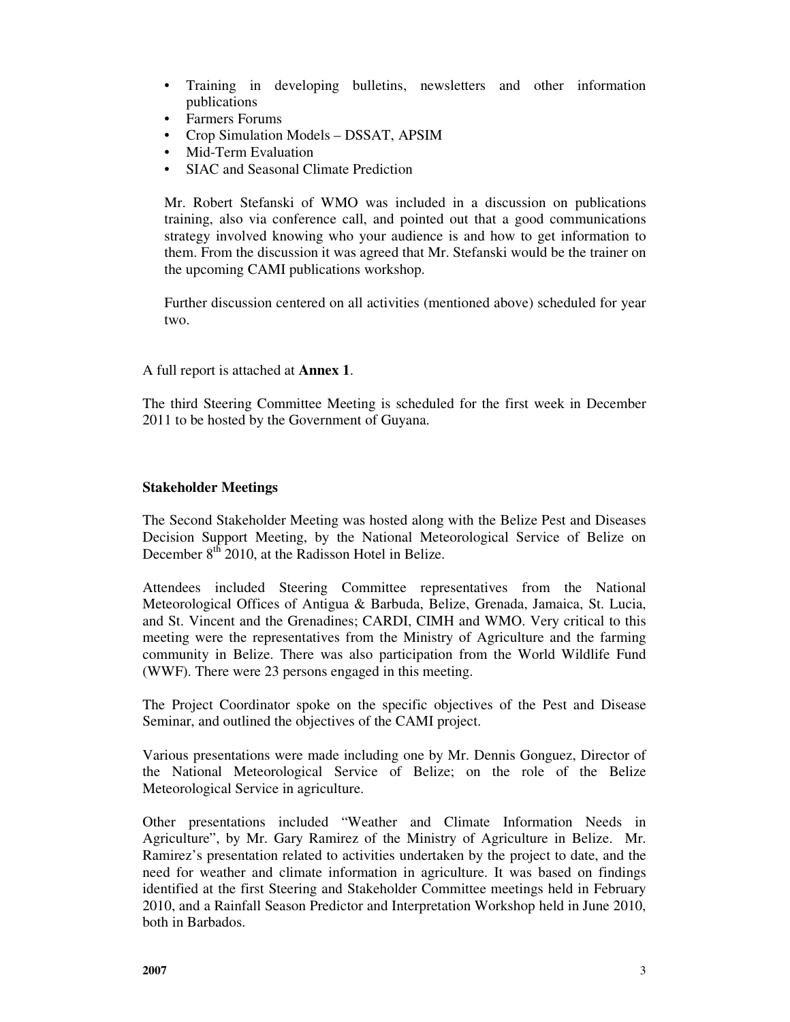- Training in developing bulletins, newsletters and other information publications
- Farmers Forums
- Crop Simulation Models DSSAT, APSIM
- Mid-Term Evaluation
- SIAC and Seasonal Climate Prediction

Mr. Robert Stefanski of WMO was included in a discussion on publications training, also via conference call, and pointed out that a good communications strategy involved knowing who your audience is and how to get information to them. From the discussion it was agreed that Mr. Stefanski would be the trainer on the upcoming CAMI publications workshop.

Further discussion centered on all activities (mentioned above) scheduled for year two.

A full report is attached at **Annex 1**.

The third Steering Committee Meeting is scheduled for the first week in December 2011 to be hosted by the Government of Guyana.

### **Stakeholder Meetings**

The Second Stakeholder Meeting was hosted along with the Belize Pest and Diseases Decision Support Meeting, by the National Meteorological Service of Belize on December  $8^{th}$  2010, at the Radisson Hotel in Belize.

Attendees included Steering Committee representatives from the National Meteorological Offices of Antigua & Barbuda, Belize, Grenada, Jamaica, St. Lucia, and St. Vincent and the Grenadines; CARDI, CIMH and WMO. Very critical to this meeting were the representatives from the Ministry of Agriculture and the farming community in Belize. There was also participation from the World Wildlife Fund (WWF). There were 23 persons engaged in this meeting.

The Project Coordinator spoke on the specific objectives of the Pest and Disease Seminar, and outlined the objectives of the CAMI project.

Various presentations were made including one by Mr. Dennis Gonguez, Director of the National Meteorological Service of Belize; on the role of the Belize Meteorological Service in agriculture.

Other presentations included "Weather and Climate Information Needs in Agriculture", by Mr. Gary Ramirez of the Ministry of Agriculture in Belize. Mr. Ramirez's presentation related to activities undertaken by the project to date, and the need for weather and climate information in agriculture. It was based on findings identified at the first Steering and Stakeholder Committee meetings held in February 2010, and a Rainfall Season Predictor and Interpretation Workshop held in June 2010, both in Barbados.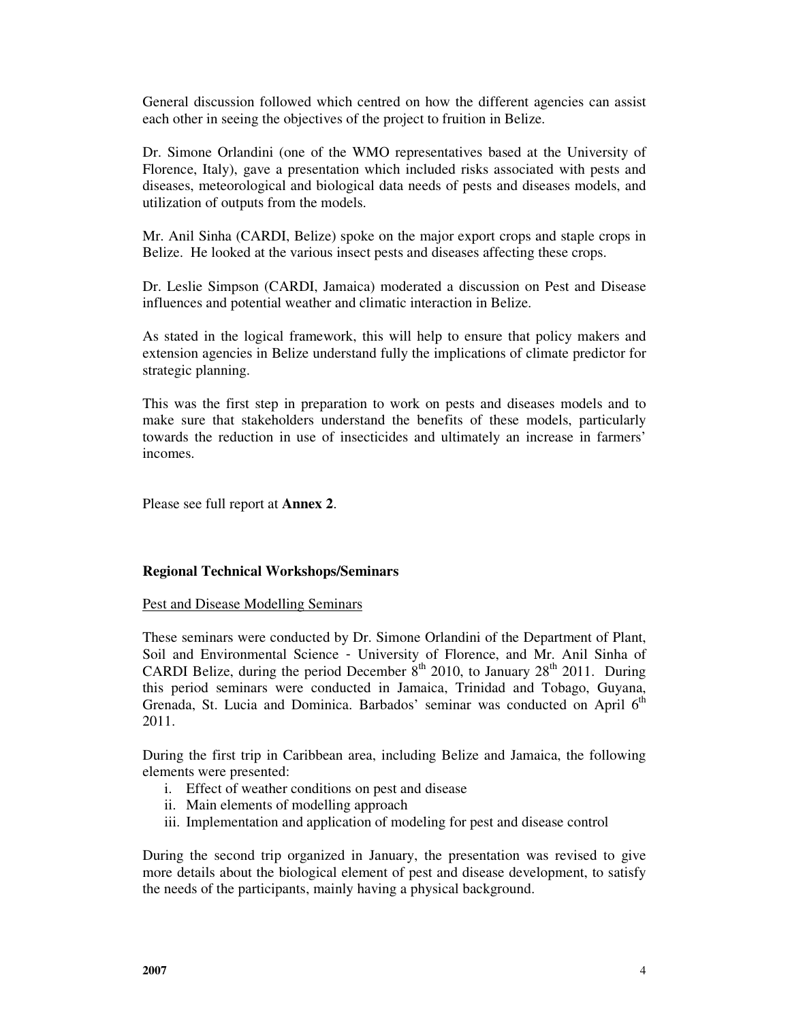General discussion followed which centred on how the different agencies can assist each other in seeing the objectives of the project to fruition in Belize.

Dr. Simone Orlandini (one of the WMO representatives based at the University of Florence, Italy), gave a presentation which included risks associated with pests and diseases, meteorological and biological data needs of pests and diseases models, and utilization of outputs from the models.

Mr. Anil Sinha (CARDI, Belize) spoke on the major export crops and staple crops in Belize. He looked at the various insect pests and diseases affecting these crops.

Dr. Leslie Simpson (CARDI, Jamaica) moderated a discussion on Pest and Disease influences and potential weather and climatic interaction in Belize.

As stated in the logical framework, this will help to ensure that policy makers and extension agencies in Belize understand fully the implications of climate predictor for strategic planning.

This was the first step in preparation to work on pests and diseases models and to make sure that stakeholders understand the benefits of these models, particularly towards the reduction in use of insecticides and ultimately an increase in farmers' incomes.

Please see full report at **Annex 2**.

## **Regional Technical Workshops/Seminars**

#### Pest and Disease Modelling Seminars

These seminars were conducted by Dr. Simone Orlandini of the Department of Plant, Soil and Environmental Science - University of Florence, and Mr. Anil Sinha of CARDI Belize, during the period December  $8<sup>th</sup>$  2010, to January 28<sup>th</sup> 2011. During this period seminars were conducted in Jamaica, Trinidad and Tobago, Guyana, Grenada, St. Lucia and Dominica. Barbados' seminar was conducted on April 6<sup>th</sup> 2011.

During the first trip in Caribbean area, including Belize and Jamaica, the following elements were presented:

- i. Effect of weather conditions on pest and disease
- ii. Main elements of modelling approach
- iii. Implementation and application of modeling for pest and disease control

During the second trip organized in January, the presentation was revised to give more details about the biological element of pest and disease development, to satisfy the needs of the participants, mainly having a physical background.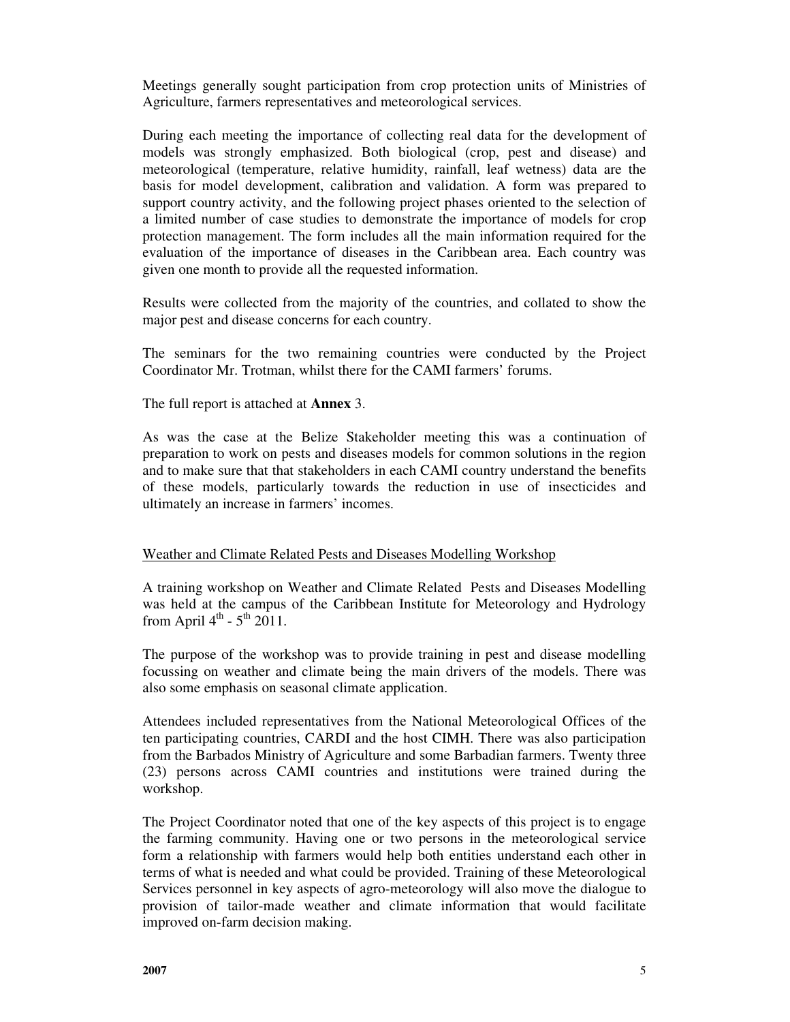Meetings generally sought participation from crop protection units of Ministries of Agriculture, farmers representatives and meteorological services.

During each meeting the importance of collecting real data for the development of models was strongly emphasized. Both biological (crop, pest and disease) and meteorological (temperature, relative humidity, rainfall, leaf wetness) data are the basis for model development, calibration and validation. A form was prepared to support country activity, and the following project phases oriented to the selection of a limited number of case studies to demonstrate the importance of models for crop protection management. The form includes all the main information required for the evaluation of the importance of diseases in the Caribbean area. Each country was given one month to provide all the requested information.

Results were collected from the majority of the countries, and collated to show the major pest and disease concerns for each country.

The seminars for the two remaining countries were conducted by the Project Coordinator Mr. Trotman, whilst there for the CAMI farmers' forums.

The full report is attached at **Annex** 3.

As was the case at the Belize Stakeholder meeting this was a continuation of preparation to work on pests and diseases models for common solutions in the region and to make sure that that stakeholders in each CAMI country understand the benefits of these models, particularly towards the reduction in use of insecticides and ultimately an increase in farmers' incomes.

#### Weather and Climate Related Pests and Diseases Modelling Workshop

A training workshop on Weather and Climate Related Pests and Diseases Modelling was held at the campus of the Caribbean Institute for Meteorology and Hydrology from April  $4^{\text{th}}$  -  $5^{\text{th}}$  2011.

The purpose of the workshop was to provide training in pest and disease modelling focussing on weather and climate being the main drivers of the models. There was also some emphasis on seasonal climate application.

Attendees included representatives from the National Meteorological Offices of the ten participating countries, CARDI and the host CIMH. There was also participation from the Barbados Ministry of Agriculture and some Barbadian farmers. Twenty three (23) persons across CAMI countries and institutions were trained during the workshop.

The Project Coordinator noted that one of the key aspects of this project is to engage the farming community. Having one or two persons in the meteorological service form a relationship with farmers would help both entities understand each other in terms of what is needed and what could be provided. Training of these Meteorological Services personnel in key aspects of agro-meteorology will also move the dialogue to provision of tailor-made weather and climate information that would facilitate improved on-farm decision making.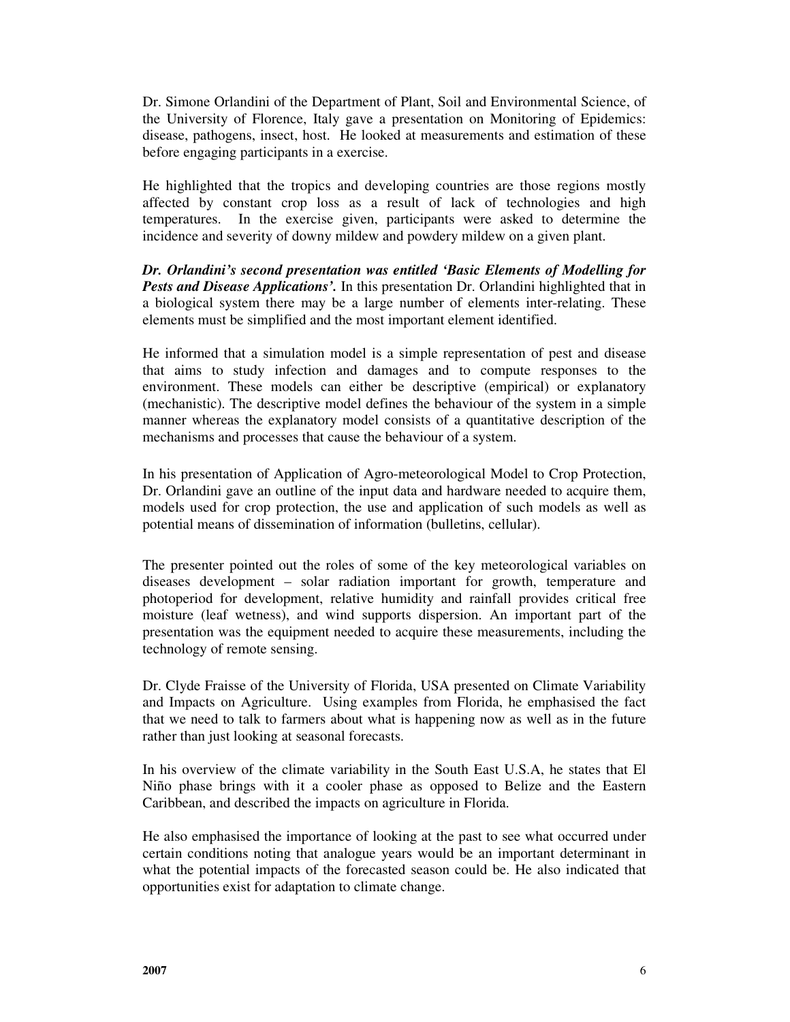Dr. Simone Orlandini of the Department of Plant, Soil and Environmental Science, of the University of Florence, Italy gave a presentation on Monitoring of Epidemics: disease, pathogens, insect, host.He looked at measurements and estimation of these before engaging participants in a exercise.

He highlighted that the tropics and developing countries are those regions mostly affected by constant crop loss as a result of lack of technologies and high temperatures. In the exercise given, participants were asked to determine the incidence and severity of downy mildew and powdery mildew on a given plant.

*Dr. Orlandini's second presentation was entitled 'Basic Elements of Modelling for Pests and Disease Applications'.* In this presentation Dr. Orlandini highlighted that in a biological system there may be a large number of elements inter-relating. These elements must be simplified and the most important element identified.

He informed that a simulation model is a simple representation of pest and disease that aims to study infection and damages and to compute responses to the environment. These models can either be descriptive (empirical) or explanatory (mechanistic). The descriptive model defines the behaviour of the system in a simple manner whereas the explanatory model consists of a quantitative description of the mechanisms and processes that cause the behaviour of a system.

In his presentation of Application of Agro-meteorological Model to Crop Protection, Dr. Orlandini gave an outline of the input data and hardware needed to acquire them, models used for crop protection, the use and application of such models as well as potential means of dissemination of information (bulletins, cellular).

The presenter pointed out the roles of some of the key meteorological variables on diseases development – solar radiation important for growth, temperature and photoperiod for development, relative humidity and rainfall provides critical free moisture (leaf wetness), and wind supports dispersion. An important part of the presentation was the equipment needed to acquire these measurements, including the technology of remote sensing.

Dr. Clyde Fraisse of the University of Florida, USA presented on Climate Variability and Impacts on Agriculture. Using examples from Florida, he emphasised the fact that we need to talk to farmers about what is happening now as well as in the future rather than just looking at seasonal forecasts.

In his overview of the climate variability in the South East U.S.A, he states that El Niño phase brings with it a cooler phase as opposed to Belize and the Eastern Caribbean, and described the impacts on agriculture in Florida.

He also emphasised the importance of looking at the past to see what occurred under certain conditions noting that analogue years would be an important determinant in what the potential impacts of the forecasted season could be. He also indicated that opportunities exist for adaptation to climate change.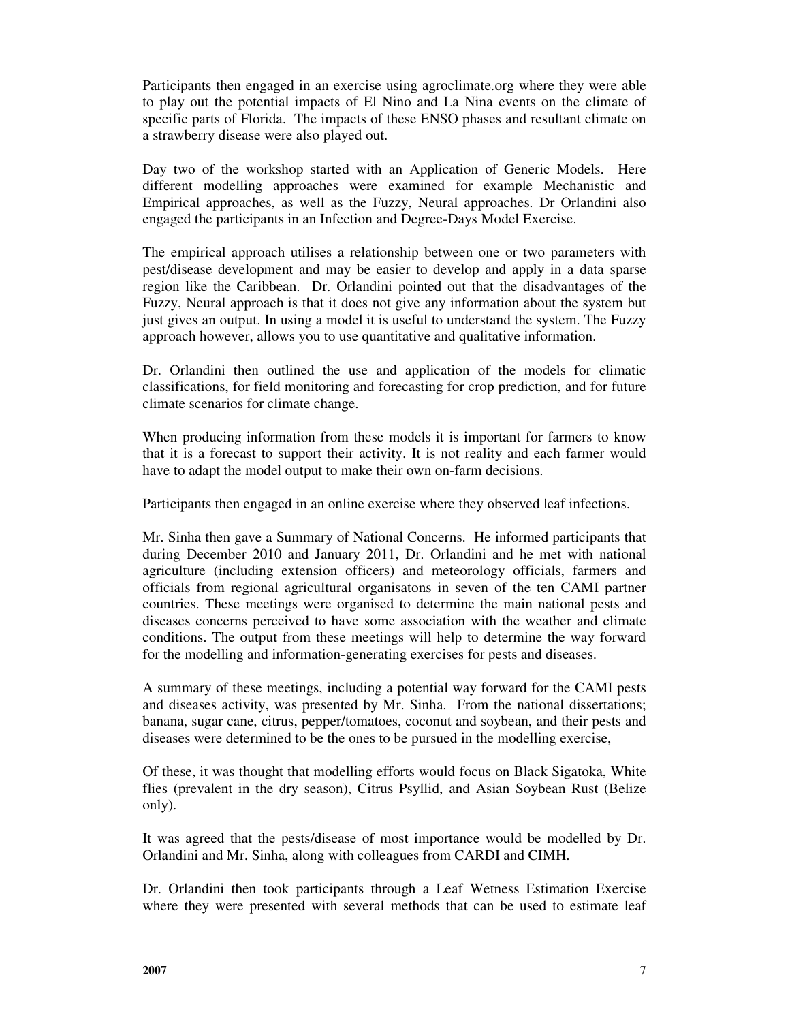Participants then engaged in an exercise using agroclimate.org where they were able to play out the potential impacts of El Nino and La Nina events on the climate of specific parts of Florida. The impacts of these ENSO phases and resultant climate on a strawberry disease were also played out.

Day two of the workshop started with an Application of Generic Models. Here different modelling approaches were examined for example Mechanistic and Empirical approaches, as well as the Fuzzy, Neural approaches. Dr Orlandini also engaged the participants in an Infection and Degree-Days Model Exercise.

The empirical approach utilises a relationship between one or two parameters with pest/disease development and may be easier to develop and apply in a data sparse region like the Caribbean. Dr. Orlandini pointed out that the disadvantages of the Fuzzy, Neural approach is that it does not give any information about the system but just gives an output. In using a model it is useful to understand the system. The Fuzzy approach however, allows you to use quantitative and qualitative information.

Dr. Orlandini then outlined the use and application of the models for climatic classifications, for field monitoring and forecasting for crop prediction, and for future climate scenarios for climate change.

When producing information from these models it is important for farmers to know that it is a forecast to support their activity. It is not reality and each farmer would have to adapt the model output to make their own on-farm decisions.

Participants then engaged in an online exercise where they observed leaf infections.

Mr. Sinha then gave a Summary of National Concerns. He informed participants that during December 2010 and January 2011, Dr. Orlandini and he met with national agriculture (including extension officers) and meteorology officials, farmers and officials from regional agricultural organisatons in seven of the ten CAMI partner countries. These meetings were organised to determine the main national pests and diseases concerns perceived to have some association with the weather and climate conditions. The output from these meetings will help to determine the way forward for the modelling and information-generating exercises for pests and diseases.

A summary of these meetings, including a potential way forward for the CAMI pests and diseases activity, was presented by Mr. Sinha. From the national dissertations; banana, sugar cane, citrus, pepper/tomatoes, coconut and soybean, and their pests and diseases were determined to be the ones to be pursued in the modelling exercise,

Of these, it was thought that modelling efforts would focus on Black Sigatoka, White flies (prevalent in the dry season), Citrus Psyllid, and Asian Soybean Rust (Belize only).

It was agreed that the pests/disease of most importance would be modelled by Dr. Orlandini and Mr. Sinha, along with colleagues from CARDI and CIMH.

Dr. Orlandini then took participants through a Leaf Wetness Estimation Exercise where they were presented with several methods that can be used to estimate leaf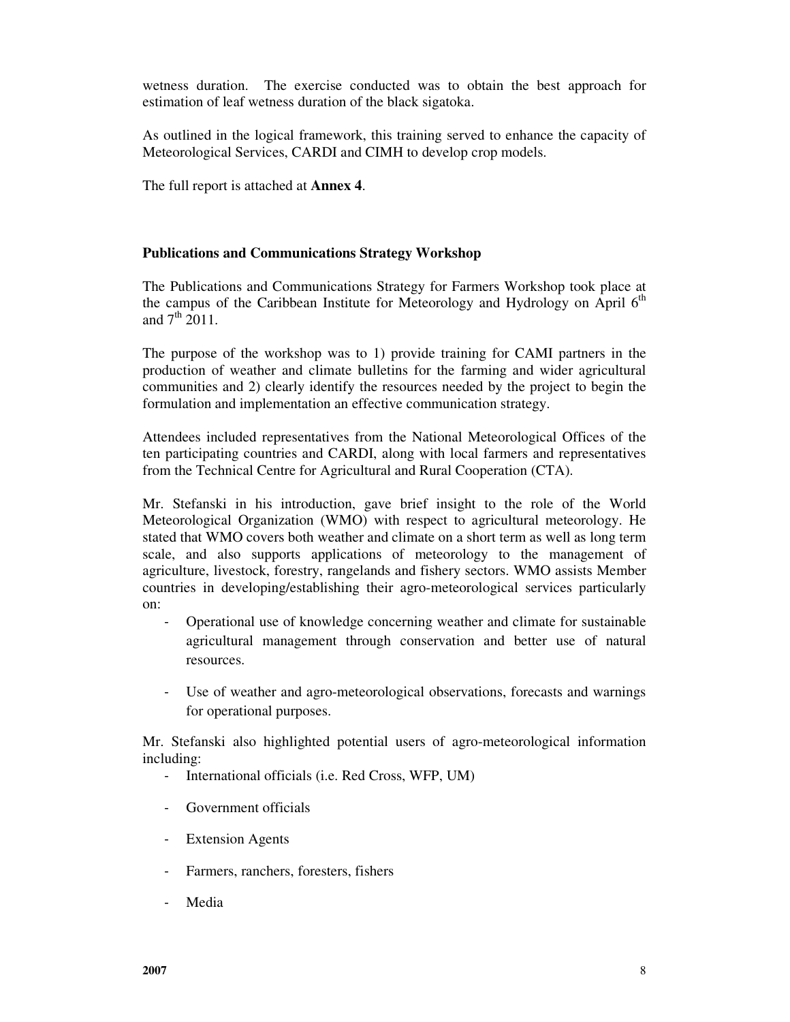wetness duration.The exercise conducted was to obtain the best approach for estimation of leaf wetness duration of the black sigatoka.

As outlined in the logical framework, this training served to enhance the capacity of Meteorological Services, CARDI and CIMH to develop crop models.

The full report is attached at **Annex 4**.

#### **Publications and Communications Strategy Workshop**

The Publications and Communications Strategy for Farmers Workshop took place at the campus of the Caribbean Institute for Meteorology and Hydrology on April  $6<sup>th</sup>$ and  $7^{th}$  2011.

The purpose of the workshop was to 1) provide training for CAMI partners in the production of weather and climate bulletins for the farming and wider agricultural communities and 2) clearly identify the resources needed by the project to begin the formulation and implementation an effective communication strategy.

Attendees included representatives from the National Meteorological Offices of the ten participating countries and CARDI, along with local farmers and representatives from the Technical Centre for Agricultural and Rural Cooperation (CTA).

Mr. Stefanski in his introduction, gave brief insight to the role of the World Meteorological Organization (WMO) with respect to agricultural meteorology. He stated that WMO covers both weather and climate on a short term as well as long term scale, and also supports applications of meteorology to the management of agriculture, livestock, forestry, rangelands and fishery sectors. WMO assists Member countries in developing/establishing their agro-meteorological services particularly on:

- Operational use of knowledge concerning weather and climate for sustainable agricultural management through conservation and better use of natural resources.
- Use of weather and agro-meteorological observations, forecasts and warnings for operational purposes.

Mr. Stefanski also highlighted potential users of agro-meteorological information including:

- International officials (i.e. Red Cross, WFP, UM)
- Government officials
- Extension Agents
- Farmers, ranchers, foresters, fishers
- **Media**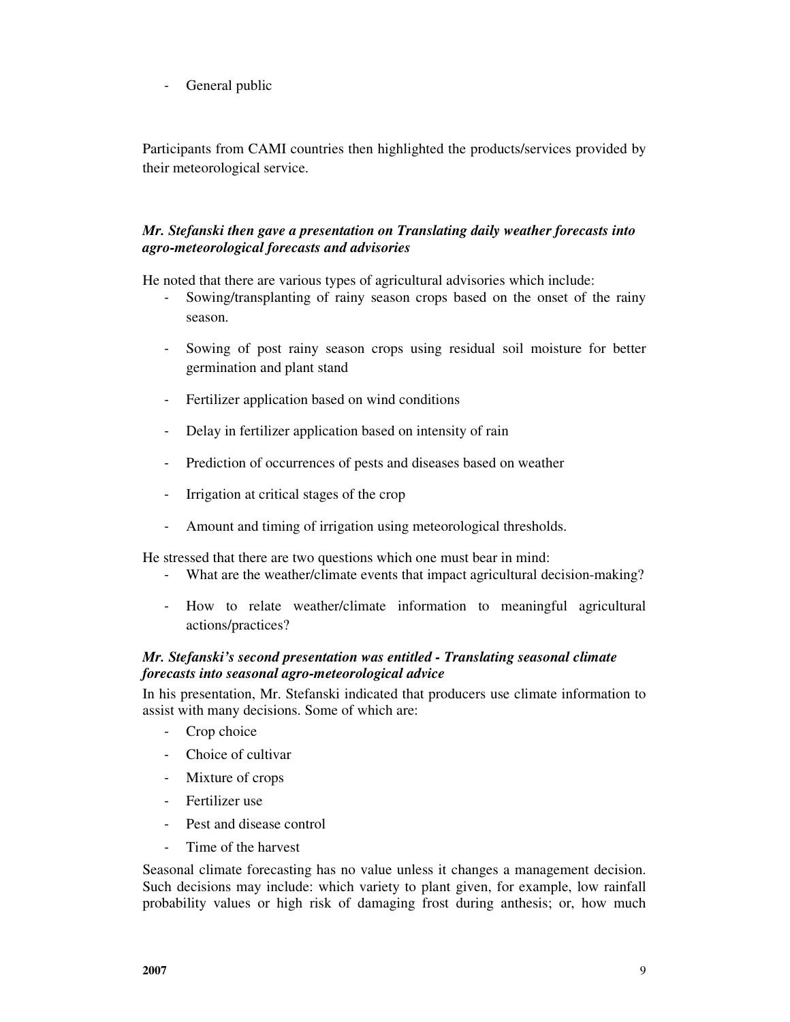General public

Participants from CAMI countries then highlighted the products/services provided by their meteorological service.

# *Mr. Stefanski then gave a presentation on Translating daily weather forecasts into agro-meteorological forecasts and advisories*

He noted that there are various types of agricultural advisories which include:

- Sowing/transplanting of rainy season crops based on the onset of the rainy season.
- Sowing of post rainy season crops using residual soil moisture for better germination and plant stand
- Fertilizer application based on wind conditions
- Delay in fertilizer application based on intensity of rain
- Prediction of occurrences of pests and diseases based on weather
- Irrigation at critical stages of the crop
- Amount and timing of irrigation using meteorological thresholds.

He stressed that there are two questions which one must bear in mind:

- What are the weather/climate events that impact agricultural decision-making?
- How to relate weather/climate information to meaningful agricultural actions/practices?

# *Mr. Stefanski's second presentation was entitled - Translating seasonal climate forecasts into seasonal agro-meteorological advice*

In his presentation, Mr. Stefanski indicated that producers use climate information to assist with many decisions. Some of which are:

- Crop choice
- Choice of cultivar
- Mixture of crops
- Fertilizer use
- Pest and disease control
- Time of the harvest

Seasonal climate forecasting has no value unless it changes a management decision. Such decisions may include: which variety to plant given, for example, low rainfall probability values or high risk of damaging frost during anthesis; or, how much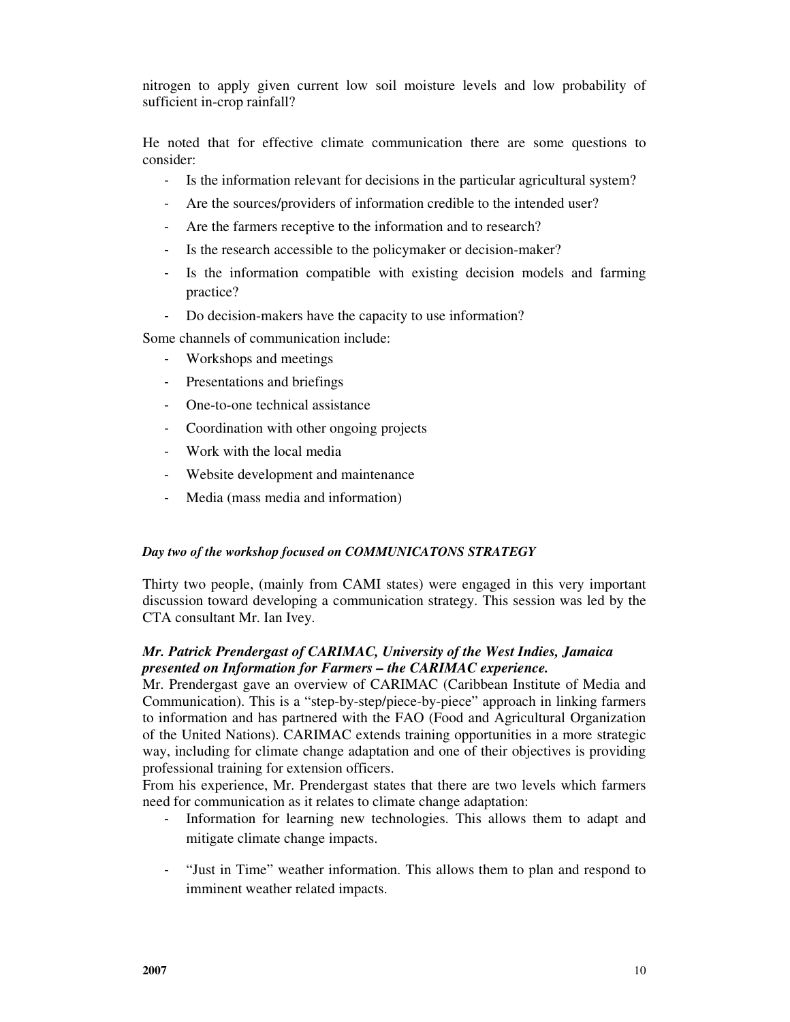nitrogen to apply given current low soil moisture levels and low probability of sufficient in-crop rainfall?

He noted that for effective climate communication there are some questions to consider:

- Is the information relevant for decisions in the particular agricultural system?
- Are the sources/providers of information credible to the intended user?
- Are the farmers receptive to the information and to research?
- Is the research accessible to the policymaker or decision-maker?
- Is the information compatible with existing decision models and farming practice?
- Do decision-makers have the capacity to use information?

Some channels of communication include:

- Workshops and meetings
- Presentations and briefings
- One-to-one technical assistance
- Coordination with other ongoing projects
- Work with the local media
- Website development and maintenance
- Media (mass media and information)

## *Day two of the workshop focused on COMMUNICATONS STRATEGY*

Thirty two people, (mainly from CAMI states) were engaged in this very important discussion toward developing a communication strategy. This session was led by the CTA consultant Mr. Ian Ivey.

## *Mr. Patrick Prendergast of CARIMAC, University of the West Indies, Jamaica presented on Information for Farmers – the CARIMAC experience.*

Mr. Prendergast gave an overview of CARIMAC (Caribbean Institute of Media and Communication). This is a "step-by-step/piece-by-piece" approach in linking farmers to information and has partnered with the FAO (Food and Agricultural Organization of the United Nations). CARIMAC extends training opportunities in a more strategic way, including for climate change adaptation and one of their objectives is providing professional training for extension officers.

From his experience, Mr. Prendergast states that there are two levels which farmers need for communication as it relates to climate change adaptation:

- Information for learning new technologies. This allows them to adapt and mitigate climate change impacts.
- "Just in Time" weather information. This allows them to plan and respond to imminent weather related impacts.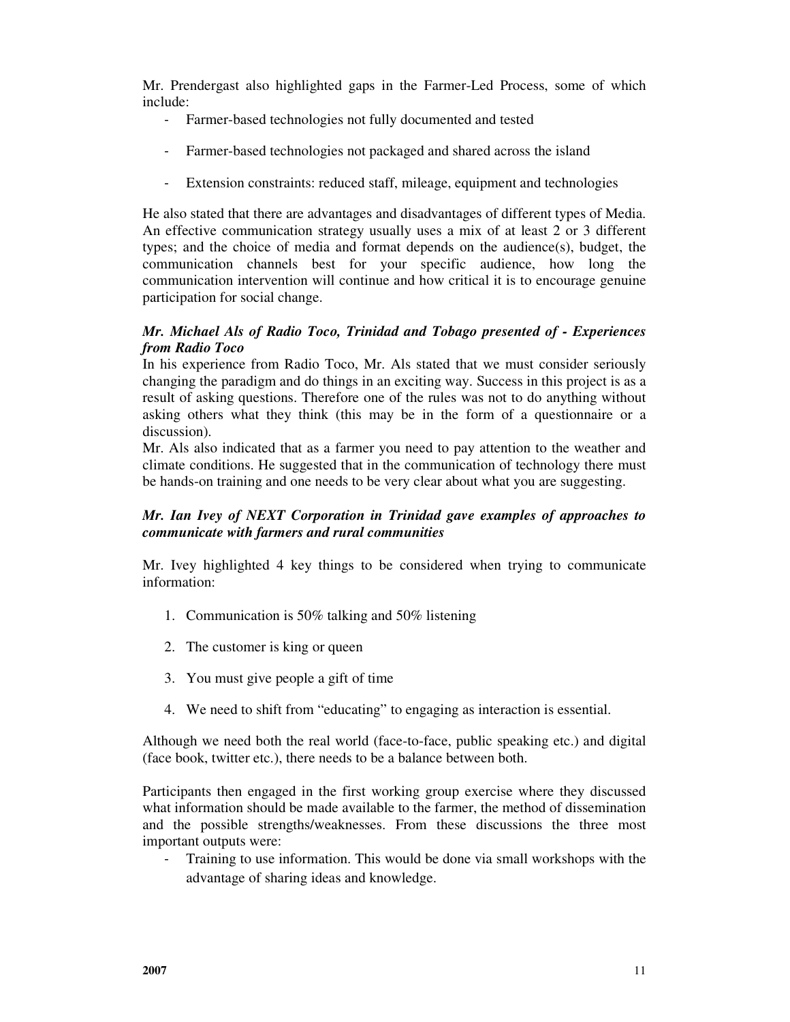Mr. Prendergast also highlighted gaps in the Farmer-Led Process, some of which include:

- Farmer-based technologies not fully documented and tested
- Farmer-based technologies not packaged and shared across the island
- Extension constraints: reduced staff, mileage, equipment and technologies

He also stated that there are advantages and disadvantages of different types of Media. An effective communication strategy usually uses a mix of at least 2 or 3 different types; and the choice of media and format depends on the audience(s), budget, the communication channels best for your specific audience, how long the communication intervention will continue and how critical it is to encourage genuine participation for social change.

## *Mr. Michael Als of Radio Toco, Trinidad and Tobago presented of - Experiences from Radio Toco*

In his experience from Radio Toco, Mr. Als stated that we must consider seriously changing the paradigm and do things in an exciting way. Success in this project is as a result of asking questions. Therefore one of the rules was not to do anything without asking others what they think (this may be in the form of a questionnaire or a discussion).

Mr. Als also indicated that as a farmer you need to pay attention to the weather and climate conditions. He suggested that in the communication of technology there must be hands-on training and one needs to be very clear about what you are suggesting.

## *Mr. Ian Ivey of NEXT Corporation in Trinidad gave examples of approaches to communicate with farmers and rural communities*

Mr. Ivey highlighted 4 key things to be considered when trying to communicate information:

- 1. Communication is 50% talking and 50% listening
- 2. The customer is king or queen
- 3. You must give people a gift of time
- 4. We need to shift from "educating" to engaging as interaction is essential.

Although we need both the real world (face-to-face, public speaking etc.) and digital (face book, twitter etc.), there needs to be a balance between both.

Participants then engaged in the first working group exercise where they discussed what information should be made available to the farmer, the method of dissemination and the possible strengths/weaknesses. From these discussions the three most important outputs were:

- Training to use information. This would be done via small workshops with the advantage of sharing ideas and knowledge.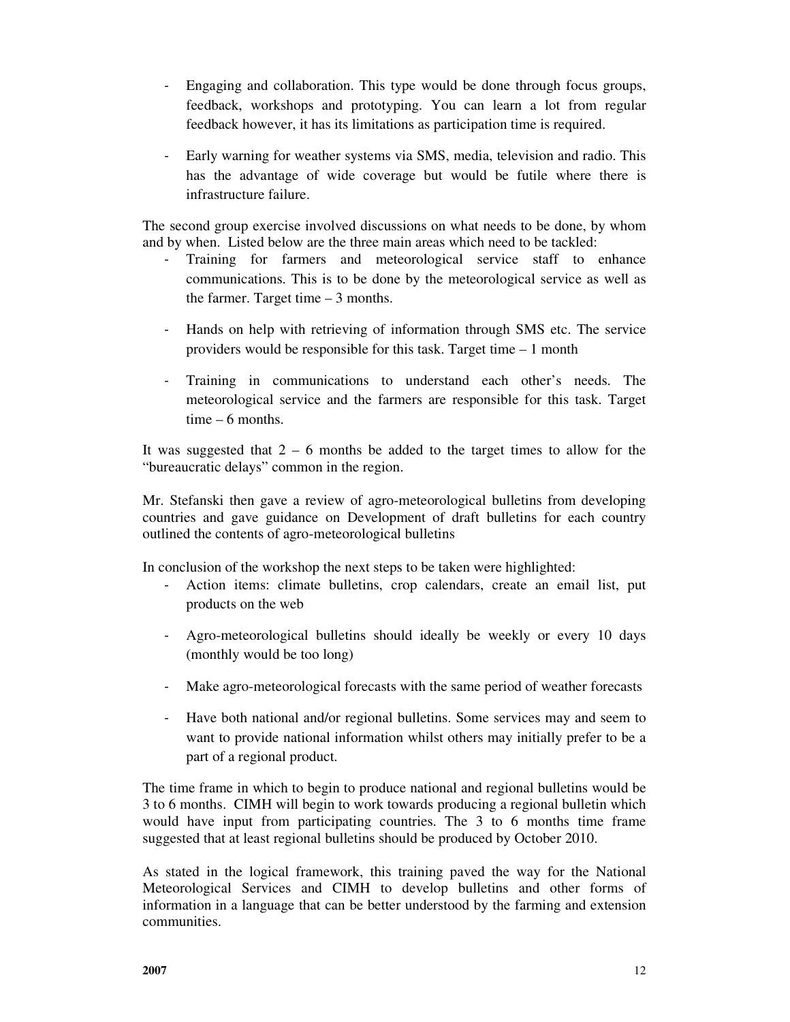- Engaging and collaboration. This type would be done through focus groups, feedback, workshops and prototyping. You can learn a lot from regular feedback however, it has its limitations as participation time is required.
- Early warning for weather systems via SMS, media, television and radio. This has the advantage of wide coverage but would be futile where there is infrastructure failure.

The second group exercise involved discussions on what needs to be done, by whom and by when. Listed below are the three main areas which need to be tackled:

- Training for farmers and meteorological service staff to enhance communications. This is to be done by the meteorological service as well as the farmer. Target time  $-3$  months.
- Hands on help with retrieving of information through SMS etc. The service providers would be responsible for this task. Target time – 1 month
- Training in communications to understand each other's needs. The meteorological service and the farmers are responsible for this task. Target time  $-6$  months.

It was suggested that  $2 - 6$  months be added to the target times to allow for the "bureaucratic delays" common in the region.

Mr. Stefanski then gave a review of agro-meteorological bulletins from developing countries and gave guidance on Development of draft bulletins for each country outlined the contents of agro-meteorological bulletins

In conclusion of the workshop the next steps to be taken were highlighted:

- Action items: climate bulletins, crop calendars, create an email list, put products on the web
- Agro-meteorological bulletins should ideally be weekly or every 10 days (monthly would be too long)
- Make agro-meteorological forecasts with the same period of weather forecasts
- Have both national and/or regional bulletins. Some services may and seem to want to provide national information whilst others may initially prefer to be a part of a regional product.

The time frame in which to begin to produce national and regional bulletins would be 3 to 6 months. CIMH will begin to work towards producing a regional bulletin which would have input from participating countries. The 3 to 6 months time frame suggested that at least regional bulletins should be produced by October 2010.

As stated in the logical framework, this training paved the way for the National Meteorological Services and CIMH to develop bulletins and other forms of information in a language that can be better understood by the farming and extension communities.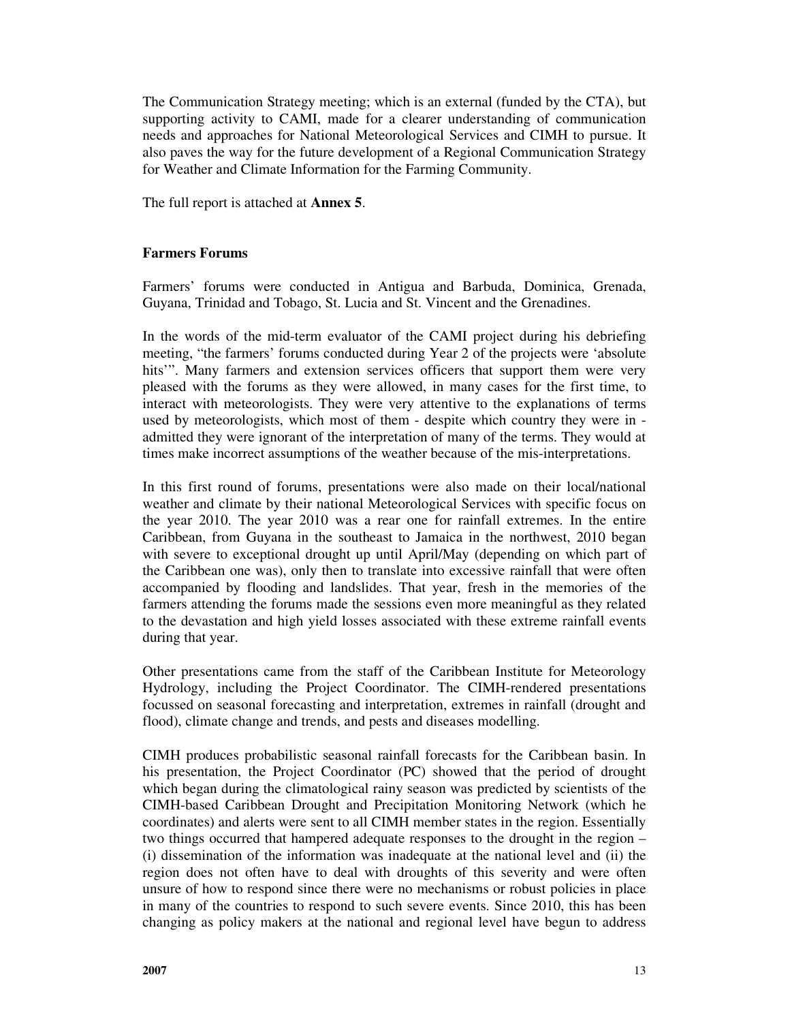The Communication Strategy meeting; which is an external (funded by the CTA), but supporting activity to CAMI, made for a clearer understanding of communication needs and approaches for National Meteorological Services and CIMH to pursue. It also paves the way for the future development of a Regional Communication Strategy for Weather and Climate Information for the Farming Community.

The full report is attached at **Annex 5**.

### **Farmers Forums**

Farmers' forums were conducted in Antigua and Barbuda, Dominica, Grenada, Guyana, Trinidad and Tobago, St. Lucia and St. Vincent and the Grenadines.

In the words of the mid-term evaluator of the CAMI project during his debriefing meeting, "the farmers' forums conducted during Year 2 of the projects were 'absolute hits'". Many farmers and extension services officers that support them were very pleased with the forums as they were allowed, in many cases for the first time, to interact with meteorologists. They were very attentive to the explanations of terms used by meteorologists, which most of them - despite which country they were in admitted they were ignorant of the interpretation of many of the terms. They would at times make incorrect assumptions of the weather because of the mis-interpretations.

In this first round of forums, presentations were also made on their local/national weather and climate by their national Meteorological Services with specific focus on the year 2010. The year 2010 was a rear one for rainfall extremes. In the entire Caribbean, from Guyana in the southeast to Jamaica in the northwest, 2010 began with severe to exceptional drought up until April/May (depending on which part of the Caribbean one was), only then to translate into excessive rainfall that were often accompanied by flooding and landslides. That year, fresh in the memories of the farmers attending the forums made the sessions even more meaningful as they related to the devastation and high yield losses associated with these extreme rainfall events during that year.

Other presentations came from the staff of the Caribbean Institute for Meteorology Hydrology, including the Project Coordinator. The CIMH-rendered presentations focussed on seasonal forecasting and interpretation, extremes in rainfall (drought and flood), climate change and trends, and pests and diseases modelling.

CIMH produces probabilistic seasonal rainfall forecasts for the Caribbean basin. In his presentation, the Project Coordinator (PC) showed that the period of drought which began during the climatological rainy season was predicted by scientists of the CIMH-based Caribbean Drought and Precipitation Monitoring Network (which he coordinates) and alerts were sent to all CIMH member states in the region. Essentially two things occurred that hampered adequate responses to the drought in the region – (i) dissemination of the information was inadequate at the national level and (ii) the region does not often have to deal with droughts of this severity and were often unsure of how to respond since there were no mechanisms or robust policies in place in many of the countries to respond to such severe events. Since 2010, this has been changing as policy makers at the national and regional level have begun to address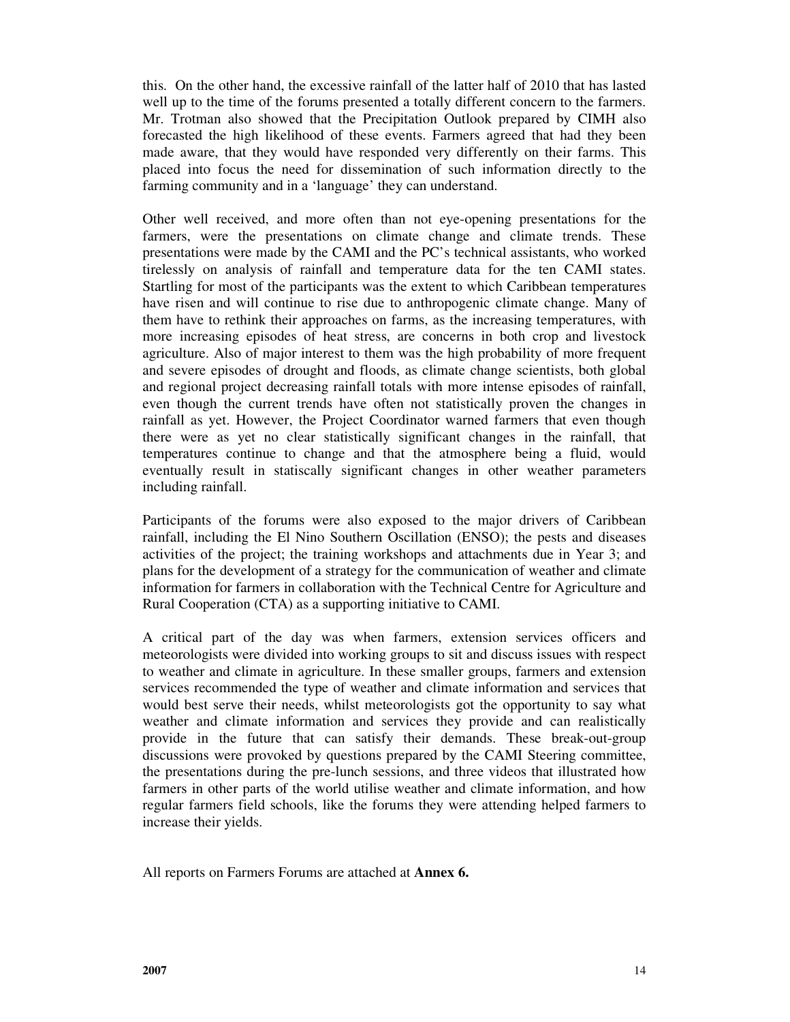this. On the other hand, the excessive rainfall of the latter half of 2010 that has lasted well up to the time of the forums presented a totally different concern to the farmers. Mr. Trotman also showed that the Precipitation Outlook prepared by CIMH also forecasted the high likelihood of these events. Farmers agreed that had they been made aware, that they would have responded very differently on their farms. This placed into focus the need for dissemination of such information directly to the farming community and in a 'language' they can understand.

Other well received, and more often than not eye-opening presentations for the farmers, were the presentations on climate change and climate trends. These presentations were made by the CAMI and the PC's technical assistants, who worked tirelessly on analysis of rainfall and temperature data for the ten CAMI states. Startling for most of the participants was the extent to which Caribbean temperatures have risen and will continue to rise due to anthropogenic climate change. Many of them have to rethink their approaches on farms, as the increasing temperatures, with more increasing episodes of heat stress, are concerns in both crop and livestock agriculture. Also of major interest to them was the high probability of more frequent and severe episodes of drought and floods, as climate change scientists, both global and regional project decreasing rainfall totals with more intense episodes of rainfall, even though the current trends have often not statistically proven the changes in rainfall as yet. However, the Project Coordinator warned farmers that even though there were as yet no clear statistically significant changes in the rainfall, that temperatures continue to change and that the atmosphere being a fluid, would eventually result in statiscally significant changes in other weather parameters including rainfall.

Participants of the forums were also exposed to the major drivers of Caribbean rainfall, including the El Nino Southern Oscillation (ENSO); the pests and diseases activities of the project; the training workshops and attachments due in Year 3; and plans for the development of a strategy for the communication of weather and climate information for farmers in collaboration with the Technical Centre for Agriculture and Rural Cooperation (CTA) as a supporting initiative to CAMI.

A critical part of the day was when farmers, extension services officers and meteorologists were divided into working groups to sit and discuss issues with respect to weather and climate in agriculture. In these smaller groups, farmers and extension services recommended the type of weather and climate information and services that would best serve their needs, whilst meteorologists got the opportunity to say what weather and climate information and services they provide and can realistically provide in the future that can satisfy their demands. These break-out-group discussions were provoked by questions prepared by the CAMI Steering committee, the presentations during the pre-lunch sessions, and three videos that illustrated how farmers in other parts of the world utilise weather and climate information, and how regular farmers field schools, like the forums they were attending helped farmers to increase their yields.

All reports on Farmers Forums are attached at **Annex 6.**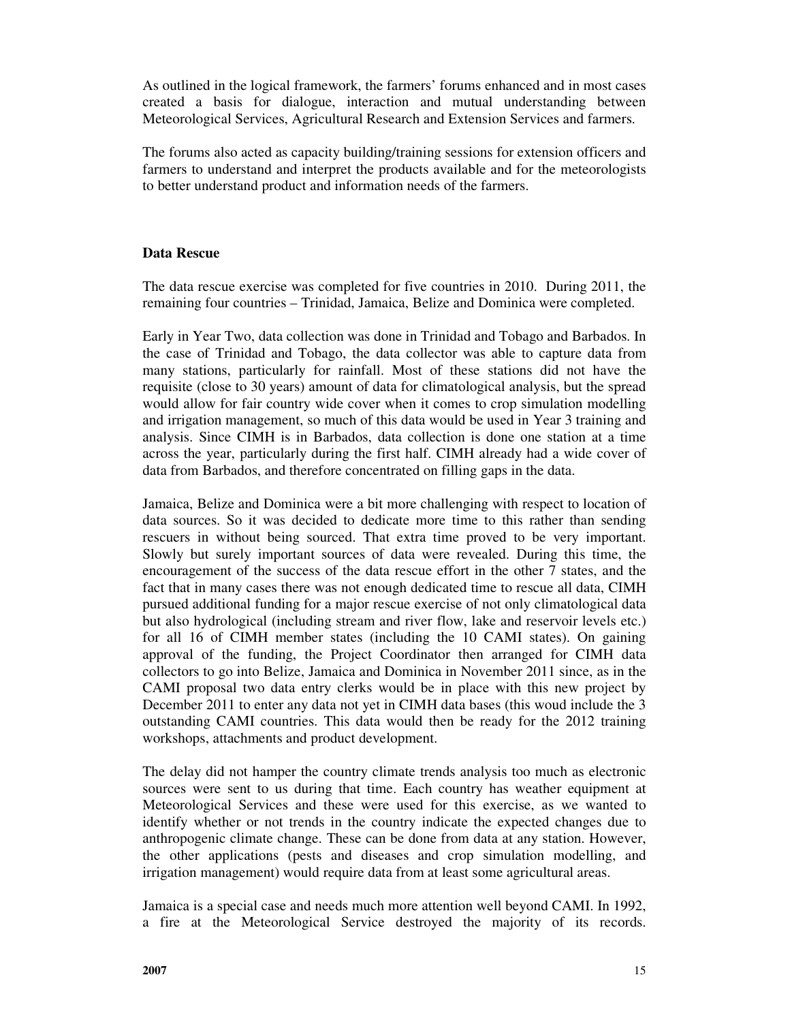As outlined in the logical framework, the farmers' forums enhanced and in most cases created a basis for dialogue, interaction and mutual understanding between Meteorological Services, Agricultural Research and Extension Services and farmers.

The forums also acted as capacity building/training sessions for extension officers and farmers to understand and interpret the products available and for the meteorologists to better understand product and information needs of the farmers.

### **Data Rescue**

The data rescue exercise was completed for five countries in 2010. During 2011, the remaining four countries – Trinidad, Jamaica, Belize and Dominica were completed.

Early in Year Two, data collection was done in Trinidad and Tobago and Barbados. In the case of Trinidad and Tobago, the data collector was able to capture data from many stations, particularly for rainfall. Most of these stations did not have the requisite (close to 30 years) amount of data for climatological analysis, but the spread would allow for fair country wide cover when it comes to crop simulation modelling and irrigation management, so much of this data would be used in Year 3 training and analysis. Since CIMH is in Barbados, data collection is done one station at a time across the year, particularly during the first half. CIMH already had a wide cover of data from Barbados, and therefore concentrated on filling gaps in the data.

Jamaica, Belize and Dominica were a bit more challenging with respect to location of data sources. So it was decided to dedicate more time to this rather than sending rescuers in without being sourced. That extra time proved to be very important. Slowly but surely important sources of data were revealed. During this time, the encouragement of the success of the data rescue effort in the other 7 states, and the fact that in many cases there was not enough dedicated time to rescue all data, CIMH pursued additional funding for a major rescue exercise of not only climatological data but also hydrological (including stream and river flow, lake and reservoir levels etc.) for all 16 of CIMH member states (including the 10 CAMI states). On gaining approval of the funding, the Project Coordinator then arranged for CIMH data collectors to go into Belize, Jamaica and Dominica in November 2011 since, as in the CAMI proposal two data entry clerks would be in place with this new project by December 2011 to enter any data not yet in CIMH data bases (this woud include the 3 outstanding CAMI countries. This data would then be ready for the 2012 training workshops, attachments and product development.

The delay did not hamper the country climate trends analysis too much as electronic sources were sent to us during that time. Each country has weather equipment at Meteorological Services and these were used for this exercise, as we wanted to identify whether or not trends in the country indicate the expected changes due to anthropogenic climate change. These can be done from data at any station. However, the other applications (pests and diseases and crop simulation modelling, and irrigation management) would require data from at least some agricultural areas.

Jamaica is a special case and needs much more attention well beyond CAMI. In 1992, a fire at the Meteorological Service destroyed the majority of its records.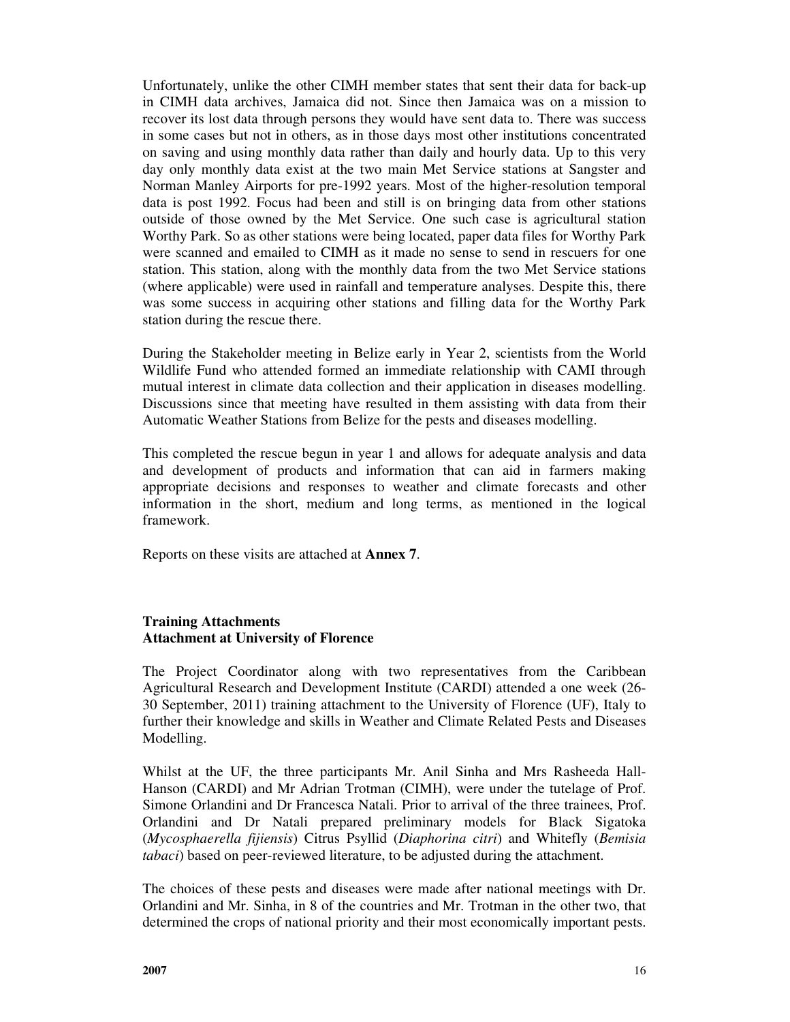Unfortunately, unlike the other CIMH member states that sent their data for back-up in CIMH data archives, Jamaica did not. Since then Jamaica was on a mission to recover its lost data through persons they would have sent data to. There was success in some cases but not in others, as in those days most other institutions concentrated on saving and using monthly data rather than daily and hourly data. Up to this very day only monthly data exist at the two main Met Service stations at Sangster and Norman Manley Airports for pre-1992 years. Most of the higher-resolution temporal data is post 1992. Focus had been and still is on bringing data from other stations outside of those owned by the Met Service. One such case is agricultural station Worthy Park. So as other stations were being located, paper data files for Worthy Park were scanned and emailed to CIMH as it made no sense to send in rescuers for one station. This station, along with the monthly data from the two Met Service stations (where applicable) were used in rainfall and temperature analyses. Despite this, there was some success in acquiring other stations and filling data for the Worthy Park station during the rescue there.

During the Stakeholder meeting in Belize early in Year 2, scientists from the World Wildlife Fund who attended formed an immediate relationship with CAMI through mutual interest in climate data collection and their application in diseases modelling. Discussions since that meeting have resulted in them assisting with data from their Automatic Weather Stations from Belize for the pests and diseases modelling.

This completed the rescue begun in year 1 and allows for adequate analysis and data and development of products and information that can aid in farmers making appropriate decisions and responses to weather and climate forecasts and other information in the short, medium and long terms, as mentioned in the logical framework.

Reports on these visits are attached at **Annex 7**.

### **Training Attachments Attachment at University of Florence**

The Project Coordinator along with two representatives from the Caribbean Agricultural Research and Development Institute (CARDI) attended a one week (26- 30 September, 2011) training attachment to the University of Florence (UF), Italy to further their knowledge and skills in Weather and Climate Related Pests and Diseases Modelling.

Whilst at the UF, the three participants Mr. Anil Sinha and Mrs Rasheeda Hall-Hanson (CARDI) and Mr Adrian Trotman (CIMH), were under the tutelage of Prof. Simone Orlandini and Dr Francesca Natali. Prior to arrival of the three trainees, Prof. Orlandini and Dr Natali prepared preliminary models for Black Sigatoka (*Mycosphaerella fijiensis*) Citrus Psyllid (*Diaphorina citri*) and Whitefly (*Bemisia tabaci*) based on peer-reviewed literature, to be adjusted during the attachment.

The choices of these pests and diseases were made after national meetings with Dr. Orlandini and Mr. Sinha, in 8 of the countries and Mr. Trotman in the other two, that determined the crops of national priority and their most economically important pests.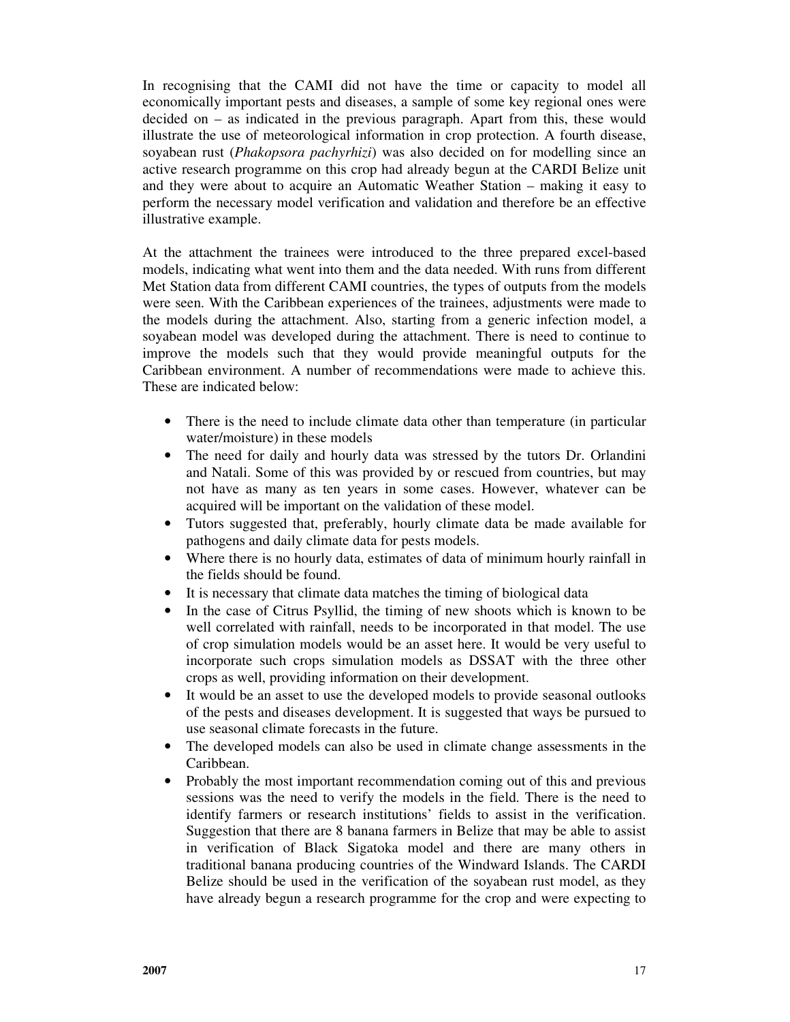In recognising that the CAMI did not have the time or capacity to model all economically important pests and diseases, a sample of some key regional ones were decided on – as indicated in the previous paragraph. Apart from this, these would illustrate the use of meteorological information in crop protection. A fourth disease, soyabean rust (*Phakopsora pachyrhizi*) was also decided on for modelling since an active research programme on this crop had already begun at the CARDI Belize unit and they were about to acquire an Automatic Weather Station – making it easy to perform the necessary model verification and validation and therefore be an effective illustrative example.

At the attachment the trainees were introduced to the three prepared excel-based models, indicating what went into them and the data needed. With runs from different Met Station data from different CAMI countries, the types of outputs from the models were seen. With the Caribbean experiences of the trainees, adjustments were made to the models during the attachment. Also, starting from a generic infection model, a soyabean model was developed during the attachment. There is need to continue to improve the models such that they would provide meaningful outputs for the Caribbean environment. A number of recommendations were made to achieve this. These are indicated below:

- There is the need to include climate data other than temperature (in particular water/moisture) in these models
- The need for daily and hourly data was stressed by the tutors Dr. Orlandini and Natali. Some of this was provided by or rescued from countries, but may not have as many as ten years in some cases. However, whatever can be acquired will be important on the validation of these model.
- Tutors suggested that, preferably, hourly climate data be made available for pathogens and daily climate data for pests models.
- Where there is no hourly data, estimates of data of minimum hourly rainfall in the fields should be found.
- It is necessary that climate data matches the timing of biological data
- In the case of Citrus Psyllid, the timing of new shoots which is known to be well correlated with rainfall, needs to be incorporated in that model. The use of crop simulation models would be an asset here. It would be very useful to incorporate such crops simulation models as DSSAT with the three other crops as well, providing information on their development.
- It would be an asset to use the developed models to provide seasonal outlooks of the pests and diseases development. It is suggested that ways be pursued to use seasonal climate forecasts in the future.
- The developed models can also be used in climate change assessments in the Caribbean.
- Probably the most important recommendation coming out of this and previous sessions was the need to verify the models in the field. There is the need to identify farmers or research institutions' fields to assist in the verification. Suggestion that there are 8 banana farmers in Belize that may be able to assist in verification of Black Sigatoka model and there are many others in traditional banana producing countries of the Windward Islands. The CARDI Belize should be used in the verification of the soyabean rust model, as they have already begun a research programme for the crop and were expecting to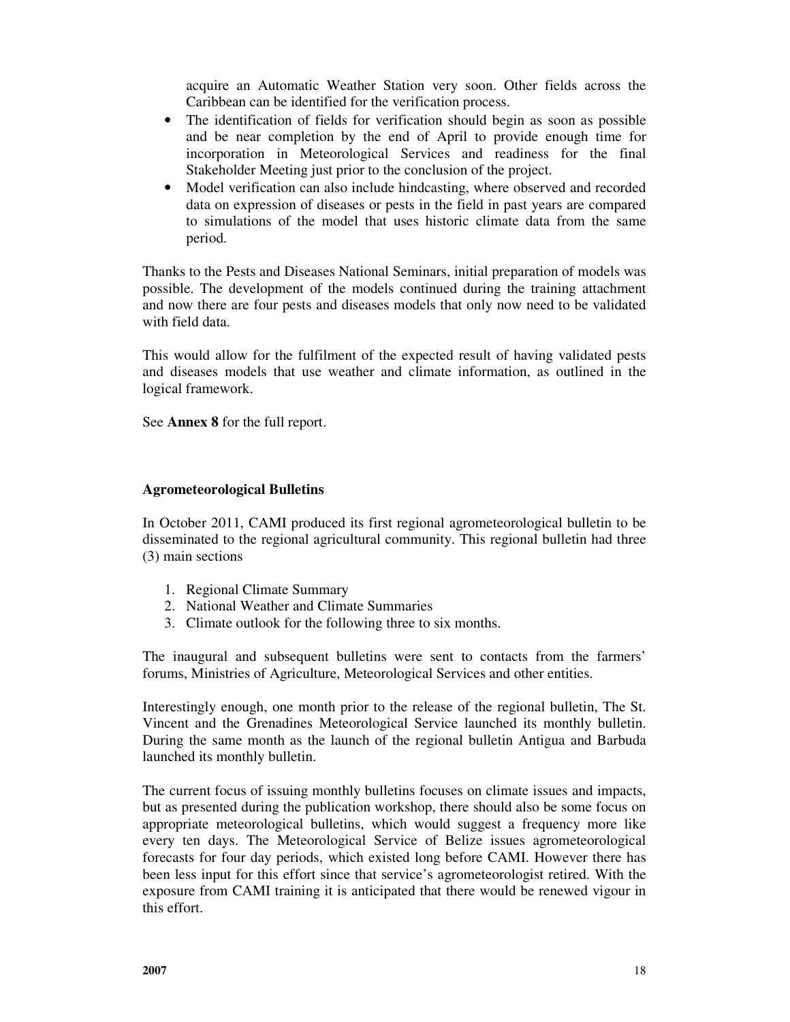acquire an Automatic Weather Station very soon. Other fields across the Caribbean can be identified for the verification process.

- The identification of fields for verification should begin as soon as possible and be near completion by the end of April to provide enough time for incorporation in Meteorological Services and readiness for the final Stakeholder Meeting just prior to the conclusion of the project.
- Model verification can also include hindcasting, where observed and recorded data on expression of diseases or pests in the field in past years are compared to simulations of the model that uses historic climate data from the same period.

Thanks to the Pests and Diseases National Seminars, initial preparation of models was possible. The development of the models continued during the training attachment and now there are four pests and diseases models that only now need to be validated with field data.

This would allow for the fulfilment of the expected result of having validated pests and diseases models that use weather and climate information, as outlined in the logical framework.

See **Annex 8** for the full report.

### **Agrometeorological Bulletins**

In October 2011, CAMI produced its first regional agrometeorological bulletin to be disseminated to the regional agricultural community. This regional bulletin had three (3) main sections

- 1. Regional Climate Summary
- 2. National Weather and Climate Summaries
- 3. Climate outlook for the following three to six months.

The inaugural and subsequent bulletins were sent to contacts from the farmers' forums, Ministries of Agriculture, Meteorological Services and other entities.

Interestingly enough, one month prior to the release of the regional bulletin, The St. Vincent and the Grenadines Meteorological Service launched its monthly bulletin. During the same month as the launch of the regional bulletin Antigua and Barbuda launched its monthly bulletin.

The current focus of issuing monthly bulletins focuses on climate issues and impacts, but as presented during the publication workshop, there should also be some focus on appropriate meteorological bulletins, which would suggest a frequency more like every ten days. The Meteorological Service of Belize issues agrometeorological forecasts for four day periods, which existed long before CAMI. However there has been less input for this effort since that service's agrometeorologist retired. With the exposure from CAMI training it is anticipated that there would be renewed vigour in this effort.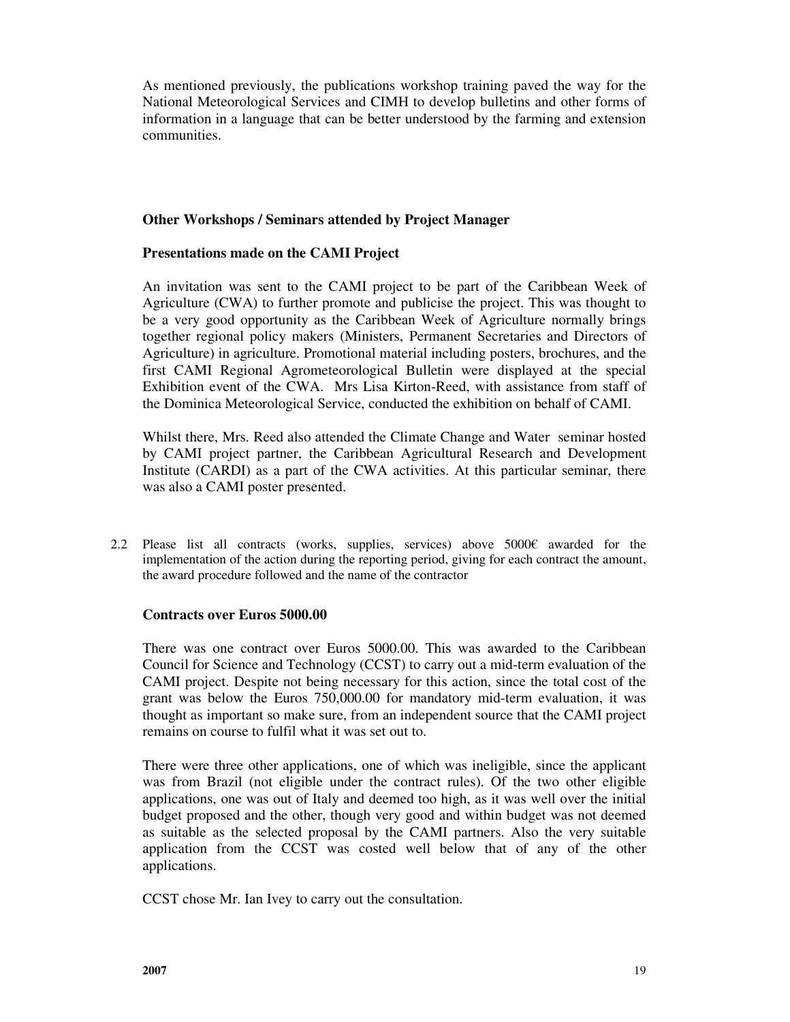As mentioned previously, the publications workshop training paved the way for the National Meteorological Services and CIMH to develop bulletins and other forms of information in a language that can be better understood by the farming and extension communities.

## **Other Workshops / Seminars attended by Project Manager**

## **Presentations made on the CAMI Project**

An invitation was sent to the CAMI project to be part of the Caribbean Week of Agriculture (CWA) to further promote and publicise the project. This was thought to be a very good opportunity as the Caribbean Week of Agriculture normally brings together regional policy makers (Ministers, Permanent Secretaries and Directors of Agriculture) in agriculture. Promotional material including posters, brochures, and the first CAMI Regional Agrometeorological Bulletin were displayed at the special Exhibition event of the CWA. Mrs Lisa Kirton-Reed, with assistance from staff of the Dominica Meteorological Service, conducted the exhibition on behalf of CAMI.

Whilst there, Mrs. Reed also attended the Climate Change and Water seminar hosted by CAMI project partner, the Caribbean Agricultural Research and Development Institute (CARDI) as a part of the CWA activities. At this particular seminar, there was also a CAMI poster presented.

2.2 Please list all contracts (works, supplies, services) above  $5000 \epsilon$  awarded for the implementation of the action during the reporting period, giving for each contract the amount, the award procedure followed and the name of the contractor

## **Contracts over Euros 5000.00**

There was one contract over Euros 5000.00. This was awarded to the Caribbean Council for Science and Technology (CCST) to carry out a mid-term evaluation of the CAMI project. Despite not being necessary for this action, since the total cost of the grant was below the Euros 750,000.00 for mandatory mid-term evaluation, it was thought as important so make sure, from an independent source that the CAMI project remains on course to fulfil what it was set out to.

There were three other applications, one of which was ineligible, since the applicant was from Brazil (not eligible under the contract rules). Of the two other eligible applications, one was out of Italy and deemed too high, as it was well over the initial budget proposed and the other, though very good and within budget was not deemed as suitable as the selected proposal by the CAMI partners. Also the very suitable application from the CCST was costed well below that of any of the other applications.

CCST chose Mr. Ian Ivey to carry out the consultation.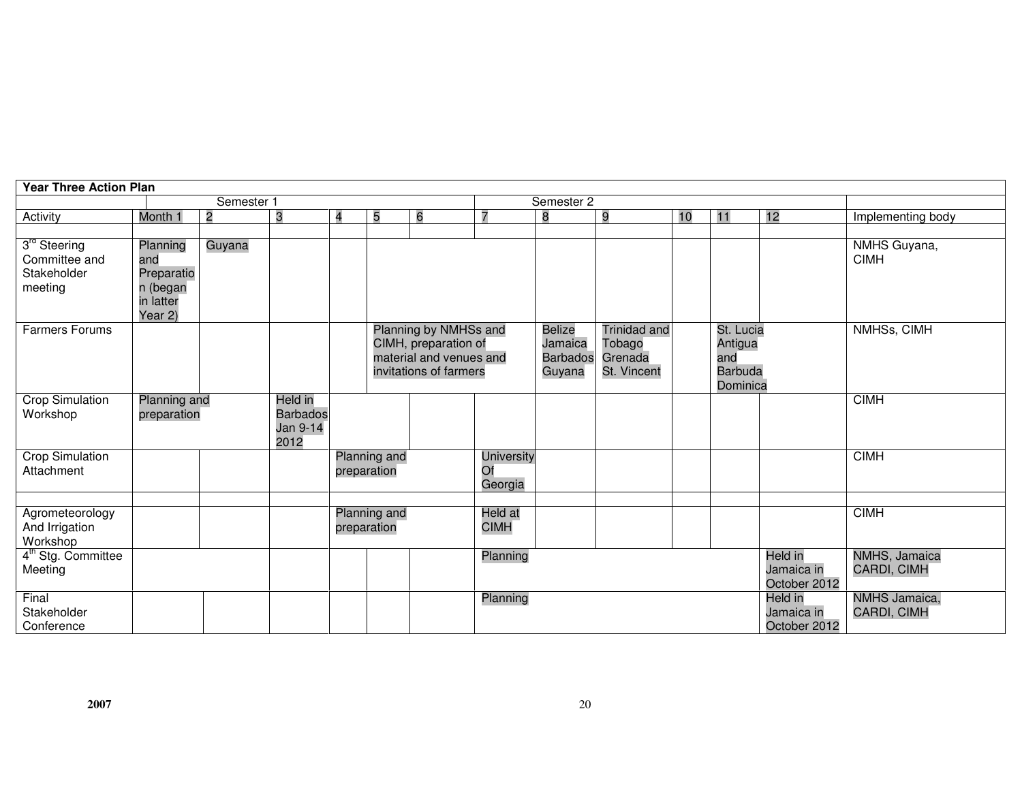| <b>Year Three Action Plan</b>                                       |                                                                   |                |                                                       |                             |                                    |                                                                                                    |                               |                                                       |                                                         |    |                                                           |                                       |                                     |
|---------------------------------------------------------------------|-------------------------------------------------------------------|----------------|-------------------------------------------------------|-----------------------------|------------------------------------|----------------------------------------------------------------------------------------------------|-------------------------------|-------------------------------------------------------|---------------------------------------------------------|----|-----------------------------------------------------------|---------------------------------------|-------------------------------------|
|                                                                     | Semester 1                                                        |                |                                                       |                             |                                    |                                                                                                    |                               | Semester 2                                            |                                                         |    |                                                           |                                       |                                     |
| Activity                                                            | Month 1                                                           | $\overline{2}$ | 3                                                     | 4                           | 5                                  | 6                                                                                                  |                               | 8                                                     | 9                                                       | 10 | 11                                                        | 12                                    | Implementing body                   |
|                                                                     |                                                                   |                |                                                       |                             |                                    |                                                                                                    |                               |                                                       |                                                         |    |                                                           |                                       |                                     |
| 3 <sup>rd</sup> Steering<br>Committee and<br>Stakeholder<br>meeting | Planning<br>and<br>Preparatio<br>n (began<br>in latter<br>Year 2) | Guyana         |                                                       |                             |                                    |                                                                                                    |                               |                                                       |                                                         |    |                                                           |                                       | NMHS Guyana,<br><b>CIMH</b>         |
| <b>Farmers Forums</b>                                               |                                                                   |                |                                                       |                             |                                    | Planning by NMHSs and<br>CIMH, preparation of<br>material and venues and<br>invitations of farmers |                               | <b>Belize</b><br>Jamaica<br><b>Barbados</b><br>Guyana | <b>Trinidad and</b><br>Tobago<br>Grenada<br>St. Vincent |    | St. Lucia<br>Antigua<br>and<br><b>Barbuda</b><br>Dominica |                                       | NMHSs, CIMH                         |
| <b>Crop Simulation</b><br>Workshop                                  | Planning and<br>preparation                                       |                | <b>Held in</b><br><b>Barbados</b><br>Jan 9-14<br>2012 |                             |                                    |                                                                                                    |                               |                                                       |                                                         |    |                                                           | <b>CIMH</b>                           |                                     |
| <b>Crop Simulation</b><br>Attachment                                |                                                                   |                |                                                       | Planning and<br>preparation |                                    | <b>University</b><br>Of<br>Georgia                                                                 |                               |                                                       |                                                         |    |                                                           | <b>CIMH</b>                           |                                     |
| Agrometeorology<br>And Irrigation<br>Workshop                       |                                                                   |                |                                                       |                             | <b>Planning and</b><br>preparation |                                                                                                    | <b>Held</b> at<br><b>CIMH</b> |                                                       |                                                         |    |                                                           |                                       | <b>CIMH</b>                         |
| 4 <sup>th</sup> Stg. Committee<br>Meeting                           |                                                                   |                |                                                       |                             |                                    | Planning                                                                                           |                               |                                                       |                                                         |    | <b>Held in</b><br>Jamaica in<br>October 2012              | NMHS, Jamaica<br>CARDI, CIMH          |                                     |
| Final<br>Stakeholder<br>Conference                                  |                                                                   |                |                                                       |                             |                                    |                                                                                                    | Planning                      |                                                       |                                                         |    |                                                           | Held in<br>Jamaica in<br>October 2012 | <b>NMHS</b> Jamaica,<br>CARDI, CIMH |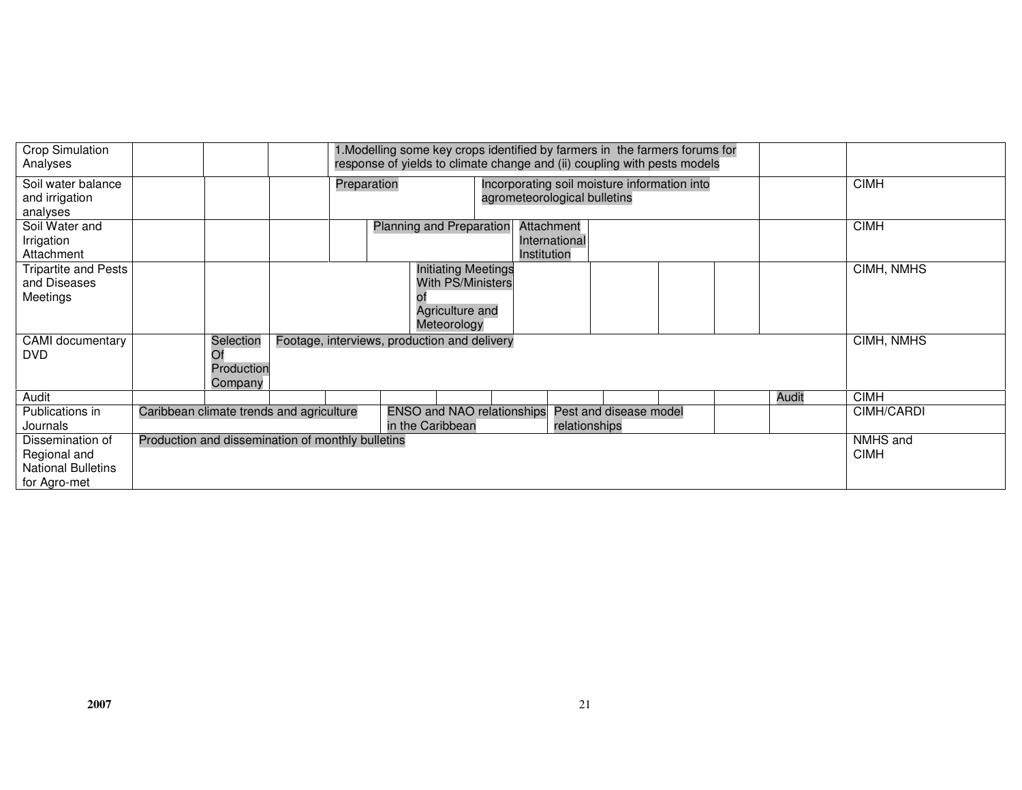| <b>Crop Simulation</b><br>Analyses                                            |                                                                                                                                              |                                          | .Modelling some key crops identified by farmers in the farmers forums for<br>response of yields to climate change and (ii) coupling with pests models |  |                                              |                                                                                   |  |                                            |            |  |             |       |                         |
|-------------------------------------------------------------------------------|----------------------------------------------------------------------------------------------------------------------------------------------|------------------------------------------|-------------------------------------------------------------------------------------------------------------------------------------------------------|--|----------------------------------------------|-----------------------------------------------------------------------------------|--|--------------------------------------------|------------|--|-------------|-------|-------------------------|
| Soil water balance<br>and irrigation<br>analyses                              |                                                                                                                                              |                                          | Preparation<br>Incorporating soil moisture information into<br>agrometeorological bulletins                                                           |  |                                              |                                                                                   |  |                                            |            |  | <b>CIMH</b> |       |                         |
| Soil Water and<br>Irrigation<br>Attachment                                    |                                                                                                                                              |                                          |                                                                                                                                                       |  | <b>Planning and Preparation</b>              |                                                                                   |  | Attachment<br>International<br>Institution |            |  |             |       | <b>CIMH</b>             |
| Tripartite and Pests<br>and Diseases<br>Meetings                              |                                                                                                                                              |                                          |                                                                                                                                                       |  |                                              | <b>Initiating Meetings</b><br>With PS/Ministers<br>Agriculture and<br>Meteorology |  |                                            |            |  |             |       | CIMH, NMHS              |
| CAMI documentary<br><b>DVD</b>                                                |                                                                                                                                              | Selection<br>Of<br>Production<br>Company |                                                                                                                                                       |  | Footage, interviews, production and delivery |                                                                                   |  |                                            |            |  |             |       | CIMH, NMHS              |
| Audit                                                                         |                                                                                                                                              |                                          |                                                                                                                                                       |  |                                              |                                                                                   |  |                                            |            |  |             | Audit | <b>CIMH</b>             |
| Publications in<br>Journals                                                   | Caribbean climate trends and agriculture<br><b>ENSO and NAO relationships</b><br>Pest and disease model<br>in the Caribbean<br>relationships |                                          |                                                                                                                                                       |  |                                              |                                                                                   |  |                                            | CIMH/CARDI |  |             |       |                         |
| Dissemination of<br>Regional and<br><b>National Bulletins</b><br>for Agro-met | Production and dissemination of monthly bulletins                                                                                            |                                          |                                                                                                                                                       |  |                                              |                                                                                   |  |                                            |            |  |             |       | NMHS and<br><b>CIMH</b> |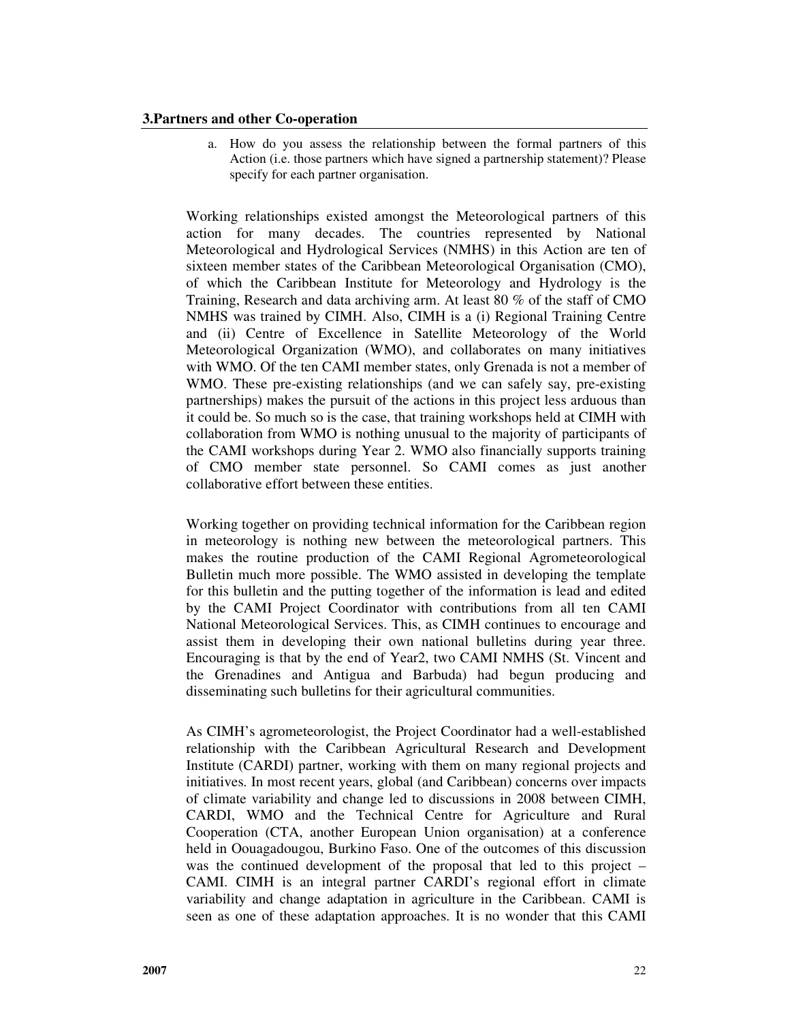#### **3.Partners and other Co-operation**

a. How do you assess the relationship between the formal partners of this Action (i.e. those partners which have signed a partnership statement)? Please specify for each partner organisation.

Working relationships existed amongst the Meteorological partners of this action for many decades. The countries represented by National Meteorological and Hydrological Services (NMHS) in this Action are ten of sixteen member states of the Caribbean Meteorological Organisation (CMO), of which the Caribbean Institute for Meteorology and Hydrology is the Training, Research and data archiving arm. At least 80 % of the staff of CMO NMHS was trained by CIMH. Also, CIMH is a (i) Regional Training Centre and (ii) Centre of Excellence in Satellite Meteorology of the World Meteorological Organization (WMO), and collaborates on many initiatives with WMO. Of the ten CAMI member states, only Grenada is not a member of WMO. These pre-existing relationships (and we can safely say, pre-existing partnerships) makes the pursuit of the actions in this project less arduous than it could be. So much so is the case, that training workshops held at CIMH with collaboration from WMO is nothing unusual to the majority of participants of the CAMI workshops during Year 2. WMO also financially supports training of CMO member state personnel. So CAMI comes as just another collaborative effort between these entities.

Working together on providing technical information for the Caribbean region in meteorology is nothing new between the meteorological partners. This makes the routine production of the CAMI Regional Agrometeorological Bulletin much more possible. The WMO assisted in developing the template for this bulletin and the putting together of the information is lead and edited by the CAMI Project Coordinator with contributions from all ten CAMI National Meteorological Services. This, as CIMH continues to encourage and assist them in developing their own national bulletins during year three. Encouraging is that by the end of Year2, two CAMI NMHS (St. Vincent and the Grenadines and Antigua and Barbuda) had begun producing and disseminating such bulletins for their agricultural communities.

As CIMH's agrometeorologist, the Project Coordinator had a well-established relationship with the Caribbean Agricultural Research and Development Institute (CARDI) partner, working with them on many regional projects and initiatives. In most recent years, global (and Caribbean) concerns over impacts of climate variability and change led to discussions in 2008 between CIMH, CARDI, WMO and the Technical Centre for Agriculture and Rural Cooperation (CTA, another European Union organisation) at a conference held in Oouagadougou, Burkino Faso. One of the outcomes of this discussion was the continued development of the proposal that led to this project – CAMI. CIMH is an integral partner CARDI's regional effort in climate variability and change adaptation in agriculture in the Caribbean. CAMI is seen as one of these adaptation approaches. It is no wonder that this CAMI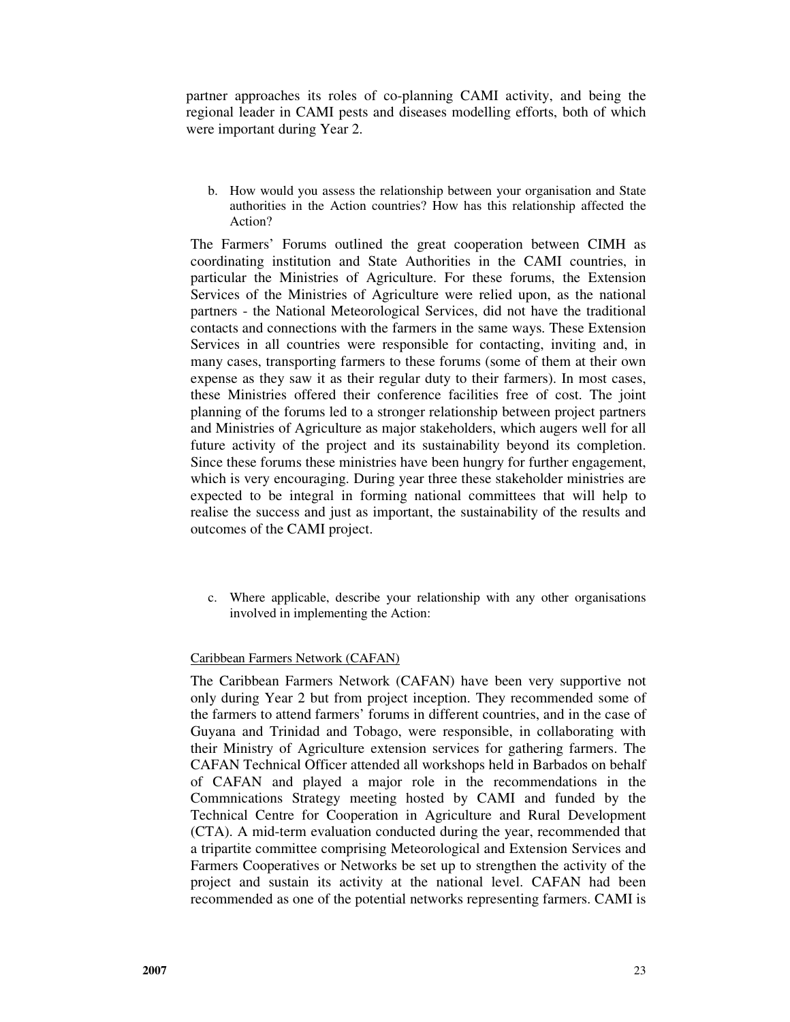partner approaches its roles of co-planning CAMI activity, and being the regional leader in CAMI pests and diseases modelling efforts, both of which were important during Year 2.

b. How would you assess the relationship between your organisation and State authorities in the Action countries? How has this relationship affected the Action?

The Farmers' Forums outlined the great cooperation between CIMH as coordinating institution and State Authorities in the CAMI countries, in particular the Ministries of Agriculture. For these forums, the Extension Services of the Ministries of Agriculture were relied upon, as the national partners - the National Meteorological Services, did not have the traditional contacts and connections with the farmers in the same ways. These Extension Services in all countries were responsible for contacting, inviting and, in many cases, transporting farmers to these forums (some of them at their own expense as they saw it as their regular duty to their farmers). In most cases, these Ministries offered their conference facilities free of cost. The joint planning of the forums led to a stronger relationship between project partners and Ministries of Agriculture as major stakeholders, which augers well for all future activity of the project and its sustainability beyond its completion. Since these forums these ministries have been hungry for further engagement, which is very encouraging. During year three these stakeholder ministries are expected to be integral in forming national committees that will help to realise the success and just as important, the sustainability of the results and outcomes of the CAMI project.

c. Where applicable, describe your relationship with any other organisations involved in implementing the Action:

### Caribbean Farmers Network (CAFAN)

The Caribbean Farmers Network (CAFAN) have been very supportive not only during Year 2 but from project inception. They recommended some of the farmers to attend farmers' forums in different countries, and in the case of Guyana and Trinidad and Tobago, were responsible, in collaborating with their Ministry of Agriculture extension services for gathering farmers. The CAFAN Technical Officer attended all workshops held in Barbados on behalf of CAFAN and played a major role in the recommendations in the Commnications Strategy meeting hosted by CAMI and funded by the Technical Centre for Cooperation in Agriculture and Rural Development (CTA). A mid-term evaluation conducted during the year, recommended that a tripartite committee comprising Meteorological and Extension Services and Farmers Cooperatives or Networks be set up to strengthen the activity of the project and sustain its activity at the national level. CAFAN had been recommended as one of the potential networks representing farmers. CAMI is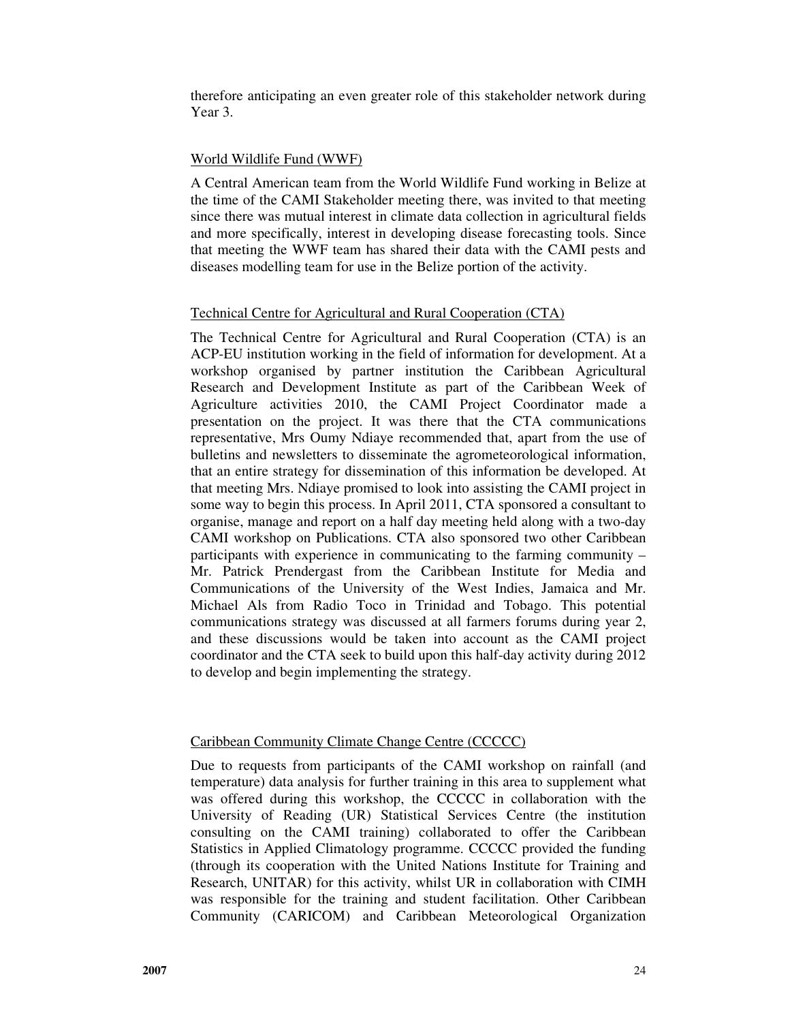therefore anticipating an even greater role of this stakeholder network during Year 3.

#### World Wildlife Fund (WWF)

A Central American team from the World Wildlife Fund working in Belize at the time of the CAMI Stakeholder meeting there, was invited to that meeting since there was mutual interest in climate data collection in agricultural fields and more specifically, interest in developing disease forecasting tools. Since that meeting the WWF team has shared their data with the CAMI pests and diseases modelling team for use in the Belize portion of the activity.

### Technical Centre for Agricultural and Rural Cooperation (CTA)

The Technical Centre for Agricultural and Rural Cooperation (CTA) is an ACP-EU institution working in the field of information for development. At a workshop organised by partner institution the Caribbean Agricultural Research and Development Institute as part of the Caribbean Week of Agriculture activities 2010, the CAMI Project Coordinator made a presentation on the project. It was there that the CTA communications representative, Mrs Oumy Ndiaye recommended that, apart from the use of bulletins and newsletters to disseminate the agrometeorological information, that an entire strategy for dissemination of this information be developed. At that meeting Mrs. Ndiaye promised to look into assisting the CAMI project in some way to begin this process. In April 2011, CTA sponsored a consultant to organise, manage and report on a half day meeting held along with a two-day CAMI workshop on Publications. CTA also sponsored two other Caribbean participants with experience in communicating to the farming community – Mr. Patrick Prendergast from the Caribbean Institute for Media and Communications of the University of the West Indies, Jamaica and Mr. Michael Als from Radio Toco in Trinidad and Tobago. This potential communications strategy was discussed at all farmers forums during year 2, and these discussions would be taken into account as the CAMI project coordinator and the CTA seek to build upon this half-day activity during 2012 to develop and begin implementing the strategy.

### Caribbean Community Climate Change Centre (CCCCC)

Due to requests from participants of the CAMI workshop on rainfall (and temperature) data analysis for further training in this area to supplement what was offered during this workshop, the CCCCC in collaboration with the University of Reading (UR) Statistical Services Centre (the institution consulting on the CAMI training) collaborated to offer the Caribbean Statistics in Applied Climatology programme. CCCCC provided the funding (through its cooperation with the United Nations Institute for Training and Research, UNITAR) for this activity, whilst UR in collaboration with CIMH was responsible for the training and student facilitation. Other Caribbean Community (CARICOM) and Caribbean Meteorological Organization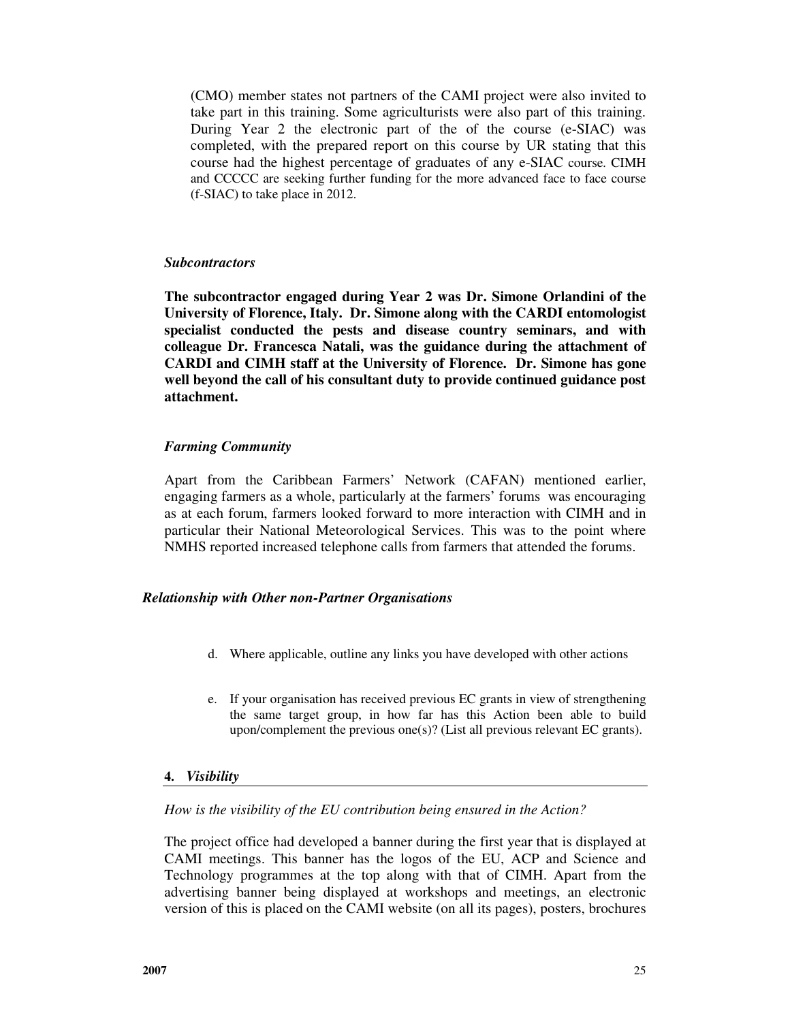(CMO) member states not partners of the CAMI project were also invited to take part in this training. Some agriculturists were also part of this training. During Year 2 the electronic part of the of the course (e-SIAC) was completed, with the prepared report on this course by UR stating that this course had the highest percentage of graduates of any e-SIAC course. CIMH and CCCCC are seeking further funding for the more advanced face to face course (f-SIAC) to take place in 2012.

#### *Subcontractors*

**The subcontractor engaged during Year 2 was Dr. Simone Orlandini of the University of Florence, Italy. Dr. Simone along with the CARDI entomologist specialist conducted the pests and disease country seminars, and with colleague Dr. Francesca Natali, was the guidance during the attachment of CARDI and CIMH staff at the University of Florence. Dr. Simone has gone well beyond the call of his consultant duty to provide continued guidance post attachment.** 

#### *Farming Community*

Apart from the Caribbean Farmers' Network (CAFAN) mentioned earlier, engaging farmers as a whole, particularly at the farmers' forums was encouraging as at each forum, farmers looked forward to more interaction with CIMH and in particular their National Meteorological Services. This was to the point where NMHS reported increased telephone calls from farmers that attended the forums.

#### *Relationship with Other non-Partner Organisations*

- d. Where applicable, outline any links you have developed with other actions
- e. If your organisation has received previous EC grants in view of strengthening the same target group, in how far has this Action been able to build upon/complement the previous one(s)? (List all previous relevant EC grants).

#### **4.** *Visibility*

*How is the visibility of the EU contribution being ensured in the Action?*

The project office had developed a banner during the first year that is displayed at CAMI meetings. This banner has the logos of the EU, ACP and Science and Technology programmes at the top along with that of CIMH. Apart from the advertising banner being displayed at workshops and meetings, an electronic version of this is placed on the CAMI website (on all its pages), posters, brochures